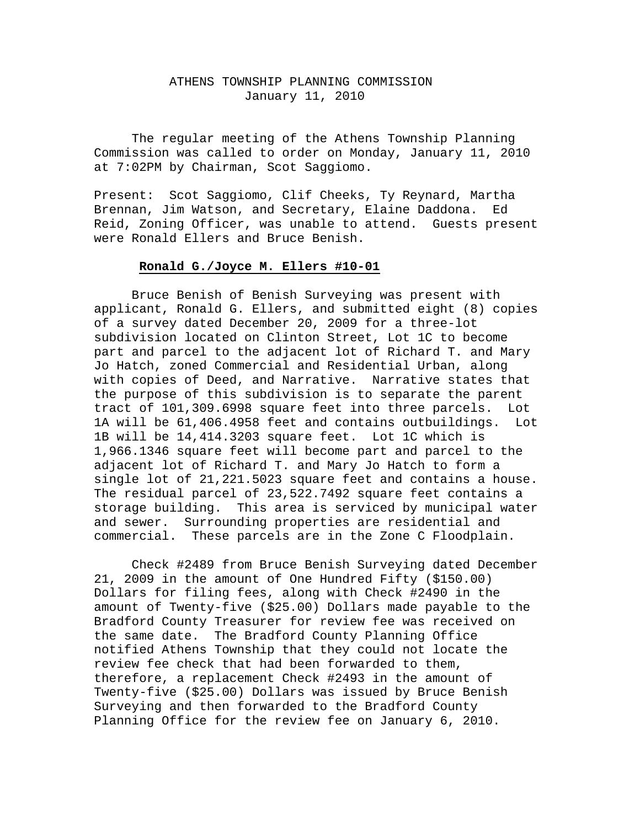## ATHENS TOWNSHIP PLANNING COMMISSION January 11, 2010

The regular meeting of the Athens Township Planning Commission was called to order on Monday, January 11, 2010 at 7:02PM by Chairman, Scot Saggiomo.

Present: Scot Saggiomo, Clif Cheeks, Ty Reynard, Martha Brennan, Jim Watson, and Secretary, Elaine Daddona. Ed Reid, Zoning Officer, was unable to attend. Guests present were Ronald Ellers and Bruce Benish.

#### **Ronald G./Joyce M. Ellers #10-01**

 Bruce Benish of Benish Surveying was present with applicant, Ronald G. Ellers, and submitted eight (8) copies of a survey dated December 20, 2009 for a three-lot subdivision located on Clinton Street, Lot 1C to become part and parcel to the adjacent lot of Richard T. and Mary Jo Hatch, zoned Commercial and Residential Urban, along with copies of Deed, and Narrative. Narrative states that the purpose of this subdivision is to separate the parent tract of 101,309.6998 square feet into three parcels. Lot 1A will be 61,406.4958 feet and contains outbuildings. Lot 1B will be 14,414.3203 square feet. Lot 1C which is 1,966.1346 square feet will become part and parcel to the adjacent lot of Richard T. and Mary Jo Hatch to form a single lot of 21,221.5023 square feet and contains a house. The residual parcel of 23,522.7492 square feet contains a storage building. This area is serviced by municipal water and sewer. Surrounding properties are residential and commercial. These parcels are in the Zone C Floodplain.

 Check #2489 from Bruce Benish Surveying dated December 21, 2009 in the amount of One Hundred Fifty (\$150.00) Dollars for filing fees, along with Check #2490 in the amount of Twenty-five (\$25.00) Dollars made payable to the Bradford County Treasurer for review fee was received on the same date. The Bradford County Planning Office notified Athens Township that they could not locate the review fee check that had been forwarded to them, therefore, a replacement Check #2493 in the amount of Twenty-five (\$25.00) Dollars was issued by Bruce Benish Surveying and then forwarded to the Bradford County Planning Office for the review fee on January 6, 2010.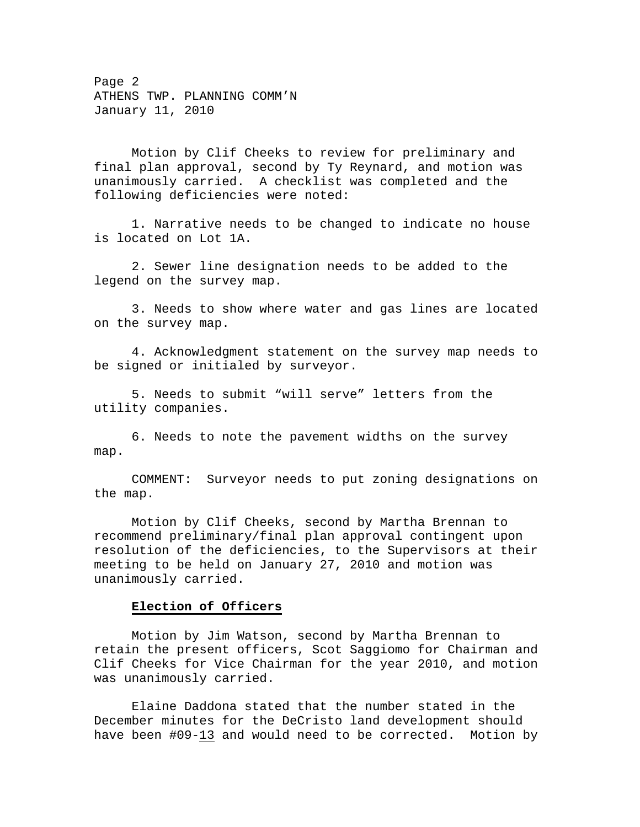Page 2 ATHENS TWP. PLANNING COMM'N January 11, 2010

 Motion by Clif Cheeks to review for preliminary and final plan approval, second by Ty Reynard, and motion was unanimously carried. A checklist was completed and the following deficiencies were noted:

 1. Narrative needs to be changed to indicate no house is located on Lot 1A.

 2. Sewer line designation needs to be added to the legend on the survey map.

 3. Needs to show where water and gas lines are located on the survey map.

 4. Acknowledgment statement on the survey map needs to be signed or initialed by surveyor.

 5. Needs to submit "will serve" letters from the utility companies.

 6. Needs to note the pavement widths on the survey map.

 COMMENT: Surveyor needs to put zoning designations on the map.

 Motion by Clif Cheeks, second by Martha Brennan to recommend preliminary/final plan approval contingent upon resolution of the deficiencies, to the Supervisors at their meeting to be held on January 27, 2010 and motion was unanimously carried.

## **Election of Officers**

 Motion by Jim Watson, second by Martha Brennan to retain the present officers, Scot Saggiomo for Chairman and Clif Cheeks for Vice Chairman for the year 2010, and motion was unanimously carried.

Elaine Daddona stated that the number stated in the December minutes for the DeCristo land development should have been #09-13 and would need to be corrected. Motion by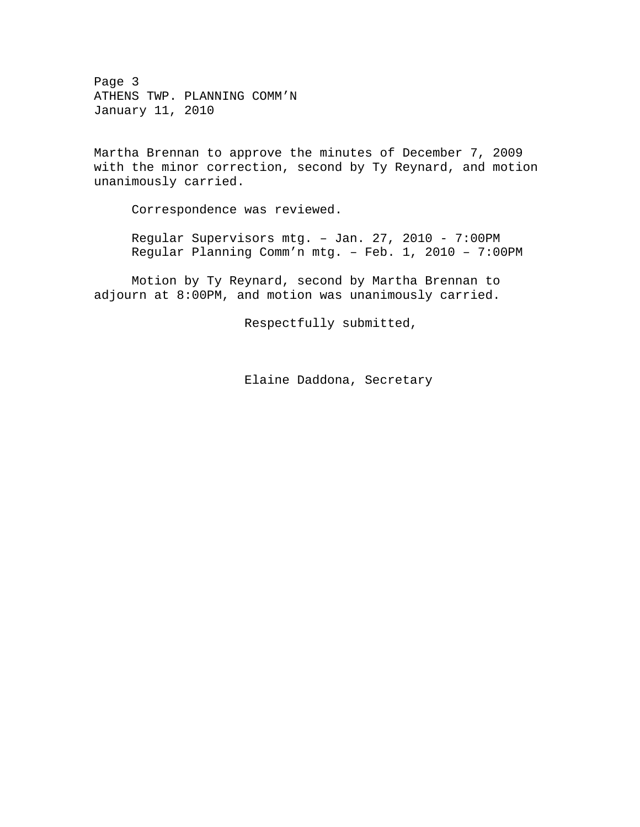Page 3 ATHENS TWP. PLANNING COMM'N January 11, 2010

Martha Brennan to approve the minutes of December 7, 2009 with the minor correction, second by Ty Reynard, and motion unanimously carried.

Correspondence was reviewed.

Regular Supervisors mtg. – Jan. 27, 2010 - 7:00PM Regular Planning Comm'n mtg. – Feb. 1, 2010 – 7:00PM

Motion by Ty Reynard, second by Martha Brennan to adjourn at 8:00PM, and motion was unanimously carried.

Respectfully submitted,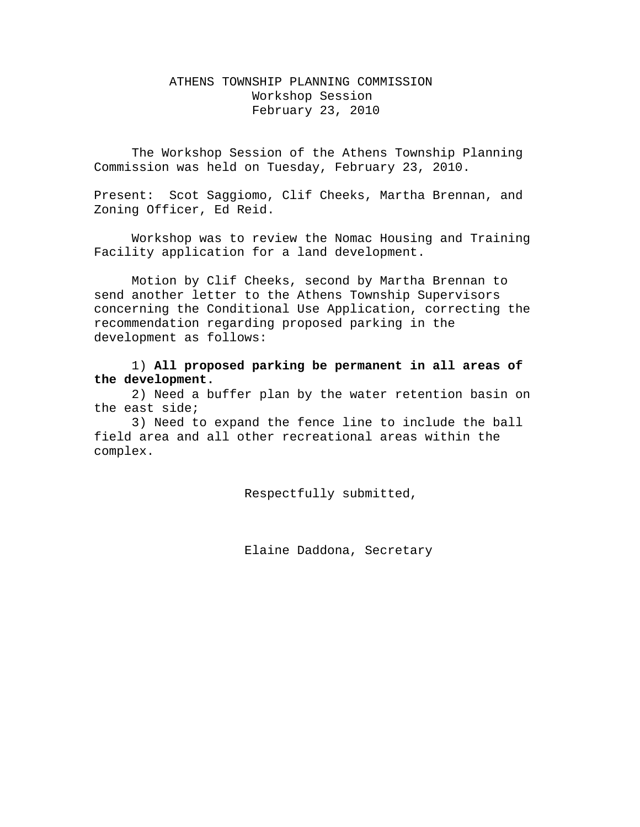# ATHENS TOWNSHIP PLANNING COMMISSION Workshop Session February 23, 2010

The Workshop Session of the Athens Township Planning Commission was held on Tuesday, February 23, 2010.

Present: Scot Saggiomo, Clif Cheeks, Martha Brennan, and Zoning Officer, Ed Reid.

 Workshop was to review the Nomac Housing and Training Facility application for a land development.

 Motion by Clif Cheeks, second by Martha Brennan to send another letter to the Athens Township Supervisors concerning the Conditional Use Application, correcting the recommendation regarding proposed parking in the development as follows:

 1) **All proposed parking be permanent in all areas of the development.**

 2) Need a buffer plan by the water retention basin on the east side;

 3) Need to expand the fence line to include the ball field area and all other recreational areas within the complex.

Respectfully submitted,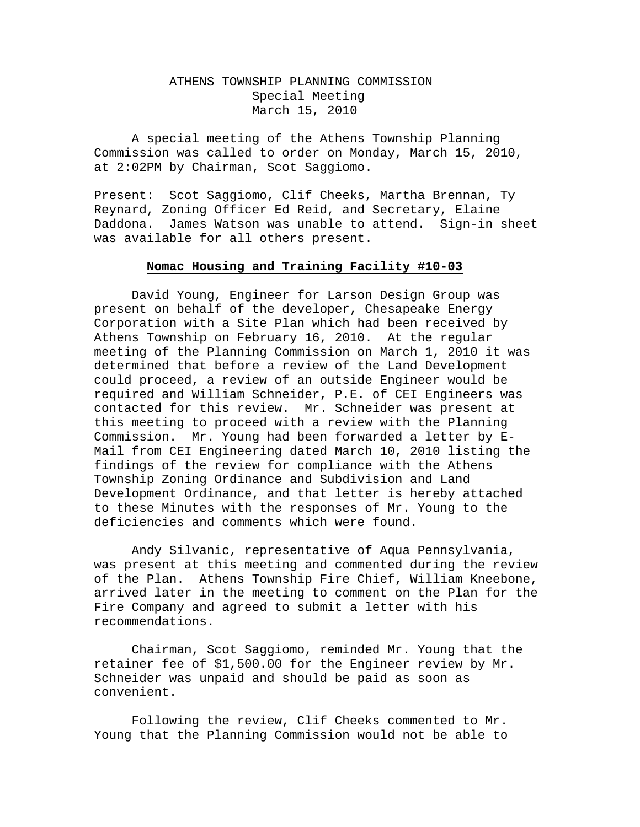## ATHENS TOWNSHIP PLANNING COMMISSION Special Meeting March 15, 2010

A special meeting of the Athens Township Planning Commission was called to order on Monday, March 15, 2010, at 2:02PM by Chairman, Scot Saggiomo.

Present: Scot Saggiomo, Clif Cheeks, Martha Brennan, Ty Reynard, Zoning Officer Ed Reid, and Secretary, Elaine Daddona. James Watson was unable to attend. Sign-in sheet was available for all others present.

#### **Nomac Housing and Training Facility #10-03**

 David Young, Engineer for Larson Design Group was present on behalf of the developer, Chesapeake Energy Corporation with a Site Plan which had been received by Athens Township on February 16, 2010. At the regular meeting of the Planning Commission on March 1, 2010 it was determined that before a review of the Land Development could proceed, a review of an outside Engineer would be required and William Schneider, P.E. of CEI Engineers was contacted for this review. Mr. Schneider was present at this meeting to proceed with a review with the Planning Commission. Mr. Young had been forwarded a letter by E-Mail from CEI Engineering dated March 10, 2010 listing the findings of the review for compliance with the Athens Township Zoning Ordinance and Subdivision and Land Development Ordinance, and that letter is hereby attached to these Minutes with the responses of Mr. Young to the deficiencies and comments which were found.

 Andy Silvanic, representative of Aqua Pennsylvania, was present at this meeting and commented during the review of the Plan. Athens Township Fire Chief, William Kneebone, arrived later in the meeting to comment on the Plan for the Fire Company and agreed to submit a letter with his recommendations.

 Chairman, Scot Saggiomo, reminded Mr. Young that the retainer fee of \$1,500.00 for the Engineer review by Mr. Schneider was unpaid and should be paid as soon as convenient.

 Following the review, Clif Cheeks commented to Mr. Young that the Planning Commission would not be able to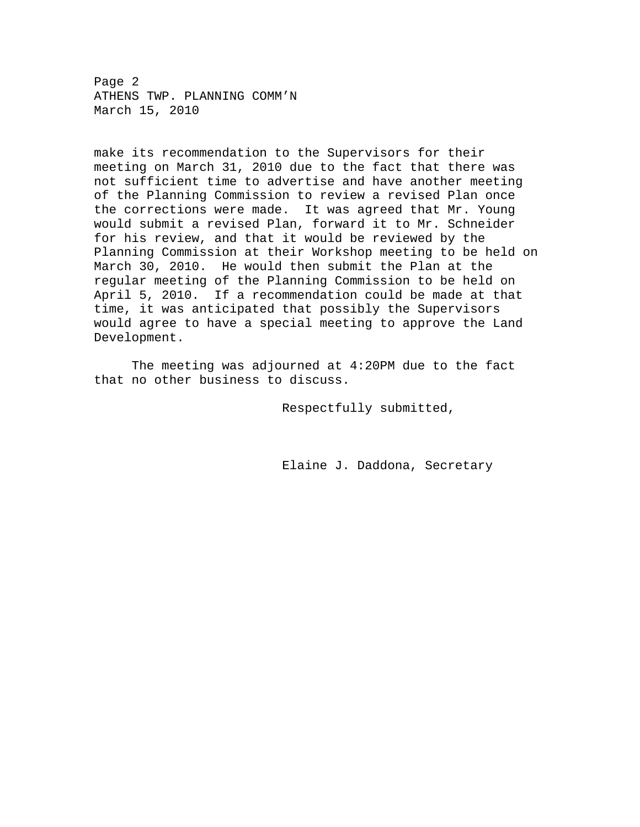Page 2 ATHENS TWP. PLANNING COMM'N March 15, 2010

make its recommendation to the Supervisors for their meeting on March 31, 2010 due to the fact that there was not sufficient time to advertise and have another meeting of the Planning Commission to review a revised Plan once the corrections were made. It was agreed that Mr. Young would submit a revised Plan, forward it to Mr. Schneider for his review, and that it would be reviewed by the Planning Commission at their Workshop meeting to be held on March 30, 2010. He would then submit the Plan at the regular meeting of the Planning Commission to be held on April 5, 2010. If a recommendation could be made at that time, it was anticipated that possibly the Supervisors would agree to have a special meeting to approve the Land Development.

 The meeting was adjourned at 4:20PM due to the fact that no other business to discuss.

Respectfully submitted,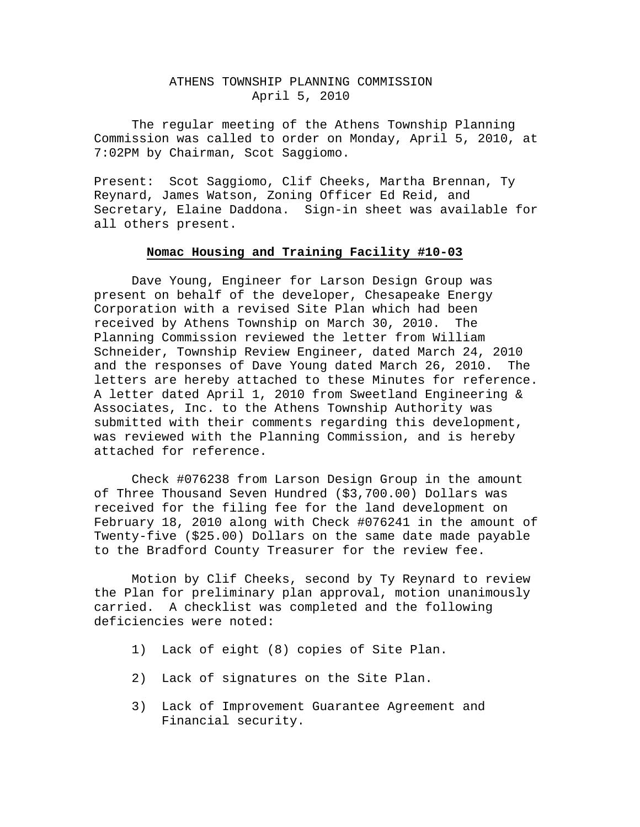## ATHENS TOWNSHIP PLANNING COMMISSION April 5, 2010

The regular meeting of the Athens Township Planning Commission was called to order on Monday, April 5, 2010, at 7:02PM by Chairman, Scot Saggiomo.

Present: Scot Saggiomo, Clif Cheeks, Martha Brennan, Ty Reynard, James Watson, Zoning Officer Ed Reid, and Secretary, Elaine Daddona. Sign-in sheet was available for all others present.

## **Nomac Housing and Training Facility #10-03**

 Dave Young, Engineer for Larson Design Group was present on behalf of the developer, Chesapeake Energy Corporation with a revised Site Plan which had been received by Athens Township on March 30, 2010. The Planning Commission reviewed the letter from William Schneider, Township Review Engineer, dated March 24, 2010 and the responses of Dave Young dated March 26, 2010. The letters are hereby attached to these Minutes for reference. A letter dated April 1, 2010 from Sweetland Engineering & Associates, Inc. to the Athens Township Authority was submitted with their comments regarding this development, was reviewed with the Planning Commission, and is hereby attached for reference.

 Check #076238 from Larson Design Group in the amount of Three Thousand Seven Hundred (\$3,700.00) Dollars was received for the filing fee for the land development on February 18, 2010 along with Check #076241 in the amount of Twenty-five (\$25.00) Dollars on the same date made payable to the Bradford County Treasurer for the review fee.

 Motion by Clif Cheeks, second by Ty Reynard to review the Plan for preliminary plan approval, motion unanimously carried. A checklist was completed and the following deficiencies were noted:

- 1) Lack of eight (8) copies of Site Plan.
- 2) Lack of signatures on the Site Plan.
- 3) Lack of Improvement Guarantee Agreement and Financial security.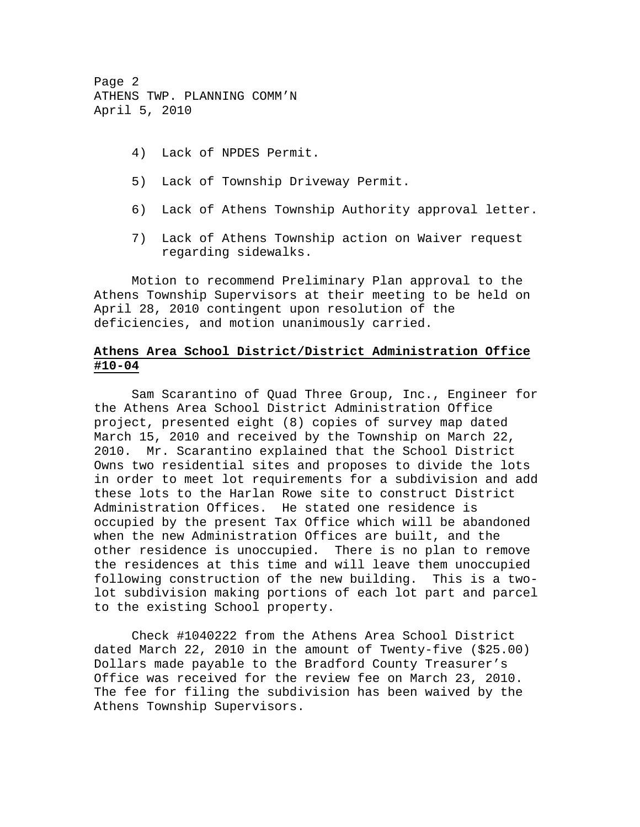Page 2 ATHENS TWP. PLANNING COMM'N April 5, 2010

- 4) Lack of NPDES Permit.
- 5) Lack of Township Driveway Permit.
- 6) Lack of Athens Township Authority approval letter.
- 7) Lack of Athens Township action on Waiver request regarding sidewalks.

 Motion to recommend Preliminary Plan approval to the Athens Township Supervisors at their meeting to be held on April 28, 2010 contingent upon resolution of the deficiencies, and motion unanimously carried.

# **Athens Area School District/District Administration Office #10-04**

 Sam Scarantino of Quad Three Group, Inc., Engineer for the Athens Area School District Administration Office project, presented eight (8) copies of survey map dated March 15, 2010 and received by the Township on March 22, 2010. Mr. Scarantino explained that the School District Owns two residential sites and proposes to divide the lots in order to meet lot requirements for a subdivision and add these lots to the Harlan Rowe site to construct District Administration Offices. He stated one residence is occupied by the present Tax Office which will be abandoned when the new Administration Offices are built, and the other residence is unoccupied. There is no plan to remove the residences at this time and will leave them unoccupied following construction of the new building. This is a twolot subdivision making portions of each lot part and parcel to the existing School property.

 Check #1040222 from the Athens Area School District dated March 22, 2010 in the amount of Twenty-five (\$25.00) Dollars made payable to the Bradford County Treasurer's Office was received for the review fee on March 23, 2010. The fee for filing the subdivision has been waived by the Athens Township Supervisors.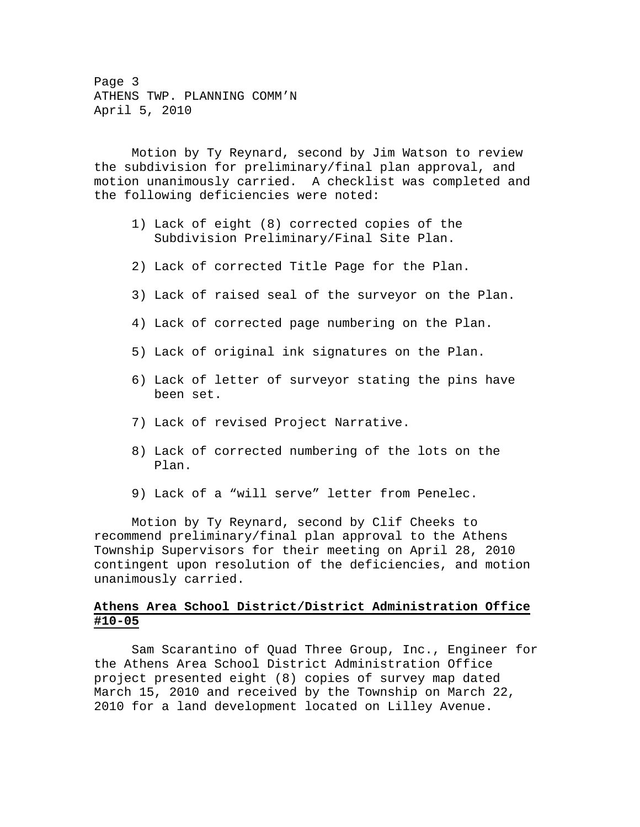Page 3 ATHENS TWP. PLANNING COMM'N April 5, 2010

 Motion by Ty Reynard, second by Jim Watson to review the subdivision for preliminary/final plan approval, and motion unanimously carried. A checklist was completed and the following deficiencies were noted:

- 1) Lack of eight (8) corrected copies of the Subdivision Preliminary/Final Site Plan.
- 2) Lack of corrected Title Page for the Plan.
- 3) Lack of raised seal of the surveyor on the Plan.
- 4) Lack of corrected page numbering on the Plan.
- 5) Lack of original ink signatures on the Plan.
- 6) Lack of letter of surveyor stating the pins have been set.
- 7) Lack of revised Project Narrative.
- 8) Lack of corrected numbering of the lots on the Plan.
- 9) Lack of a "will serve" letter from Penelec.

 Motion by Ty Reynard, second by Clif Cheeks to recommend preliminary/final plan approval to the Athens Township Supervisors for their meeting on April 28, 2010 contingent upon resolution of the deficiencies, and motion unanimously carried.

## **Athens Area School District/District Administration Office #10-05**

 Sam Scarantino of Quad Three Group, Inc., Engineer for the Athens Area School District Administration Office project presented eight (8) copies of survey map dated March 15, 2010 and received by the Township on March 22, 2010 for a land development located on Lilley Avenue.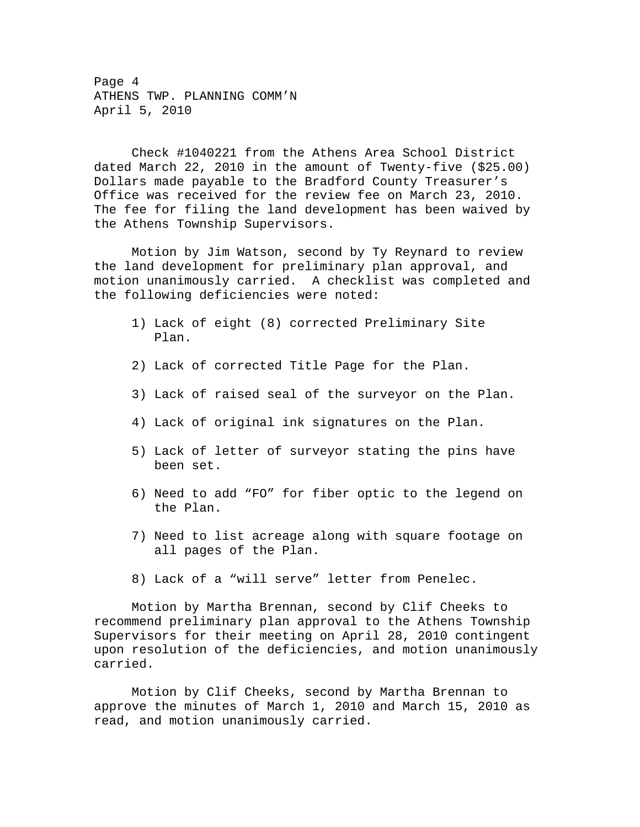Page 4 ATHENS TWP. PLANNING COMM'N April 5, 2010

 Check #1040221 from the Athens Area School District dated March 22, 2010 in the amount of Twenty-five (\$25.00) Dollars made payable to the Bradford County Treasurer's Office was received for the review fee on March 23, 2010. The fee for filing the land development has been waived by the Athens Township Supervisors.

 Motion by Jim Watson, second by Ty Reynard to review the land development for preliminary plan approval, and motion unanimously carried. A checklist was completed and the following deficiencies were noted:

- 1) Lack of eight (8) corrected Preliminary Site Plan.
- 2) Lack of corrected Title Page for the Plan.
- 3) Lack of raised seal of the surveyor on the Plan.
- 4) Lack of original ink signatures on the Plan.
- 5) Lack of letter of surveyor stating the pins have been set.
- 6) Need to add "FO" for fiber optic to the legend on the Plan.
- 7) Need to list acreage along with square footage on all pages of the Plan.
- 8) Lack of a "will serve" letter from Penelec.

 Motion by Martha Brennan, second by Clif Cheeks to recommend preliminary plan approval to the Athens Township Supervisors for their meeting on April 28, 2010 contingent upon resolution of the deficiencies, and motion unanimously carried.

 Motion by Clif Cheeks, second by Martha Brennan to approve the minutes of March 1, 2010 and March 15, 2010 as read, and motion unanimously carried.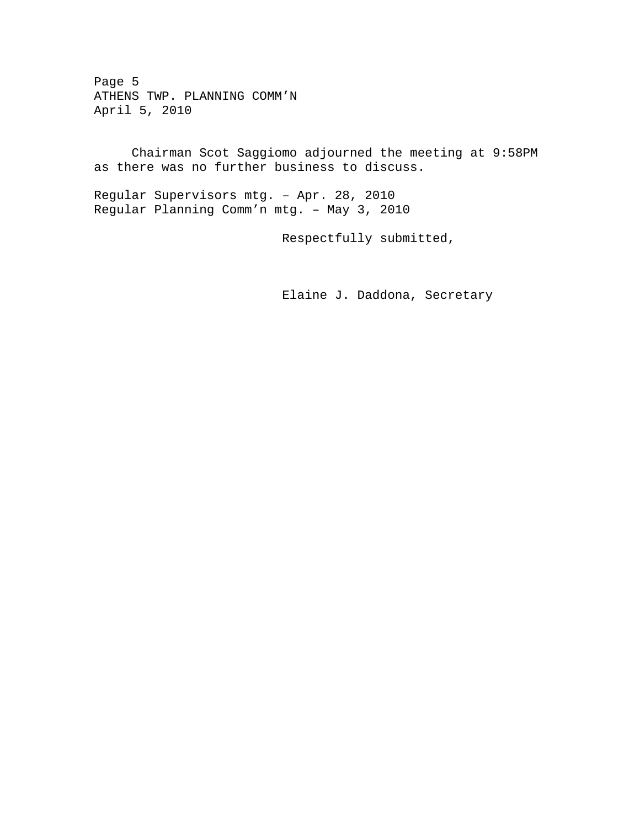Page 5 ATHENS TWP. PLANNING COMM'N April 5, 2010

 Chairman Scot Saggiomo adjourned the meeting at 9:58PM as there was no further business to discuss.

Regular Supervisors mtg. – Apr. 28, 2010 Regular Planning Comm'n mtg. – May 3, 2010

Respectfully submitted,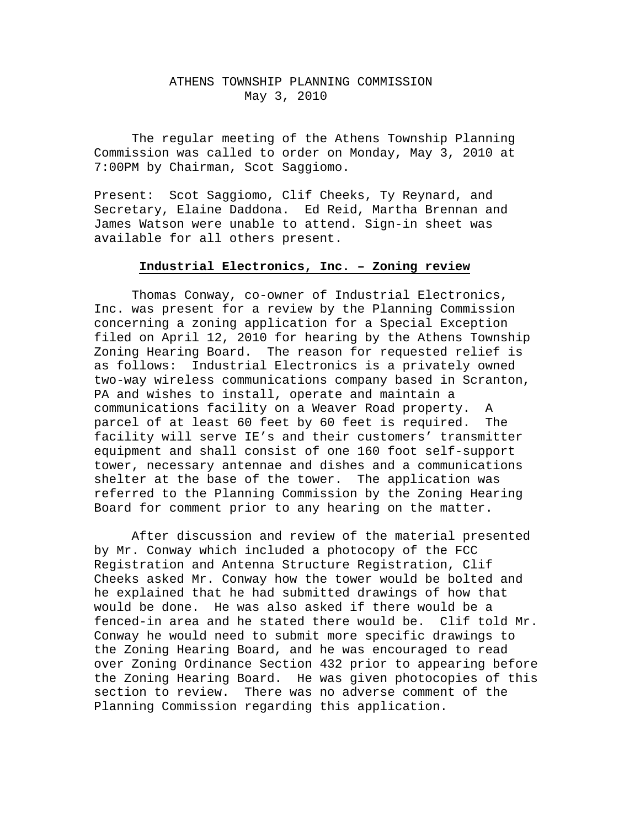## ATHENS TOWNSHIP PLANNING COMMISSION May 3, 2010

The regular meeting of the Athens Township Planning Commission was called to order on Monday, May 3, 2010 at 7:00PM by Chairman, Scot Saggiomo.

Present: Scot Saggiomo, Clif Cheeks, Ty Reynard, and Secretary, Elaine Daddona. Ed Reid, Martha Brennan and James Watson were unable to attend. Sign-in sheet was available for all others present.

#### **Industrial Electronics, Inc. – Zoning review**

 Thomas Conway, co-owner of Industrial Electronics, Inc. was present for a review by the Planning Commission concerning a zoning application for a Special Exception filed on April 12, 2010 for hearing by the Athens Township Zoning Hearing Board. The reason for requested relief is as follows: Industrial Electronics is a privately owned two-way wireless communications company based in Scranton, PA and wishes to install, operate and maintain a communications facility on a Weaver Road property. A parcel of at least 60 feet by 60 feet is required. The facility will serve IE's and their customers' transmitter equipment and shall consist of one 160 foot self-support tower, necessary antennae and dishes and a communications shelter at the base of the tower. The application was referred to the Planning Commission by the Zoning Hearing Board for comment prior to any hearing on the matter.

 After discussion and review of the material presented by Mr. Conway which included a photocopy of the FCC Registration and Antenna Structure Registration, Clif Cheeks asked Mr. Conway how the tower would be bolted and he explained that he had submitted drawings of how that would be done. He was also asked if there would be a fenced-in area and he stated there would be. Clif told Mr. Conway he would need to submit more specific drawings to the Zoning Hearing Board, and he was encouraged to read over Zoning Ordinance Section 432 prior to appearing before the Zoning Hearing Board. He was given photocopies of this section to review. There was no adverse comment of the Planning Commission regarding this application.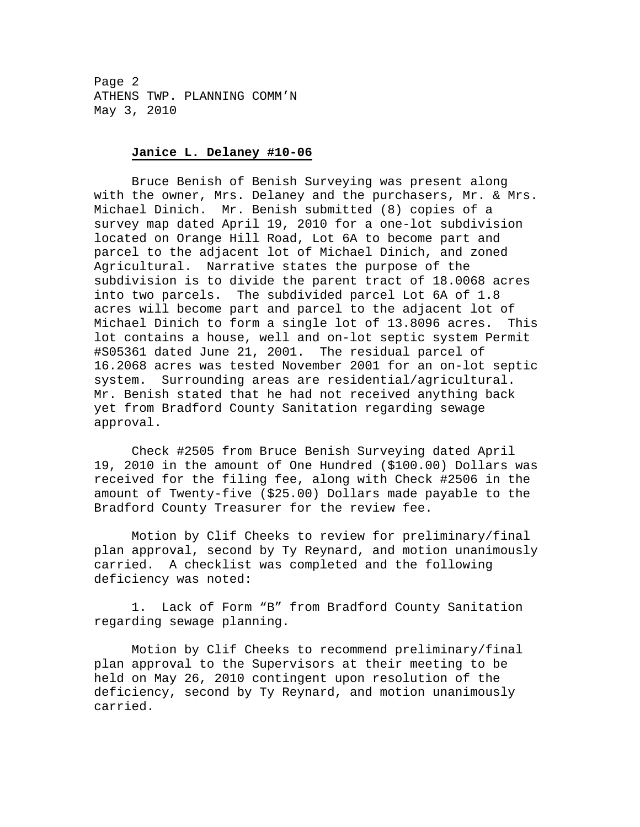Page 2 ATHENS TWP. PLANNING COMM'N May 3, 2010

#### **Janice L. Delaney #10-06**

 Bruce Benish of Benish Surveying was present along with the owner, Mrs. Delaney and the purchasers, Mr. & Mrs. Michael Dinich. Mr. Benish submitted (8) copies of a survey map dated April 19, 2010 for a one-lot subdivision located on Orange Hill Road, Lot 6A to become part and parcel to the adjacent lot of Michael Dinich, and zoned Agricultural. Narrative states the purpose of the subdivision is to divide the parent tract of 18.0068 acres into two parcels. The subdivided parcel Lot 6A of 1.8 acres will become part and parcel to the adjacent lot of Michael Dinich to form a single lot of 13.8096 acres. This lot contains a house, well and on-lot septic system Permit #S05361 dated June 21, 2001. The residual parcel of 16.2068 acres was tested November 2001 for an on-lot septic system. Surrounding areas are residential/agricultural. Mr. Benish stated that he had not received anything back yet from Bradford County Sanitation regarding sewage approval.

 Check #2505 from Bruce Benish Surveying dated April 19, 2010 in the amount of One Hundred (\$100.00) Dollars was received for the filing fee, along with Check #2506 in the amount of Twenty-five (\$25.00) Dollars made payable to the Bradford County Treasurer for the review fee.

 Motion by Clif Cheeks to review for preliminary/final plan approval, second by Ty Reynard, and motion unanimously carried. A checklist was completed and the following deficiency was noted:

 1. Lack of Form "B" from Bradford County Sanitation regarding sewage planning.

 Motion by Clif Cheeks to recommend preliminary/final plan approval to the Supervisors at their meeting to be held on May 26, 2010 contingent upon resolution of the deficiency, second by Ty Reynard, and motion unanimously carried.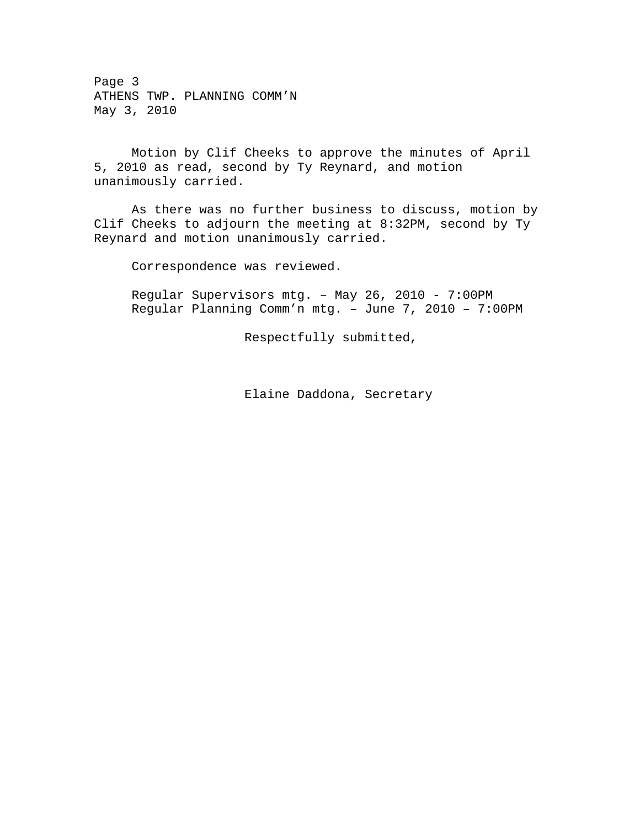Page 3 ATHENS TWP. PLANNING COMM'N May 3, 2010

 Motion by Clif Cheeks to approve the minutes of April 5, 2010 as read, second by Ty Reynard, and motion unanimously carried.

 As there was no further business to discuss, motion by Clif Cheeks to adjourn the meeting at 8:32PM, second by Ty Reynard and motion unanimously carried.

Correspondence was reviewed.

Regular Supervisors mtg. – May 26, 2010 - 7:00PM Regular Planning Comm'n mtg. – June 7, 2010 – 7:00PM

Respectfully submitted,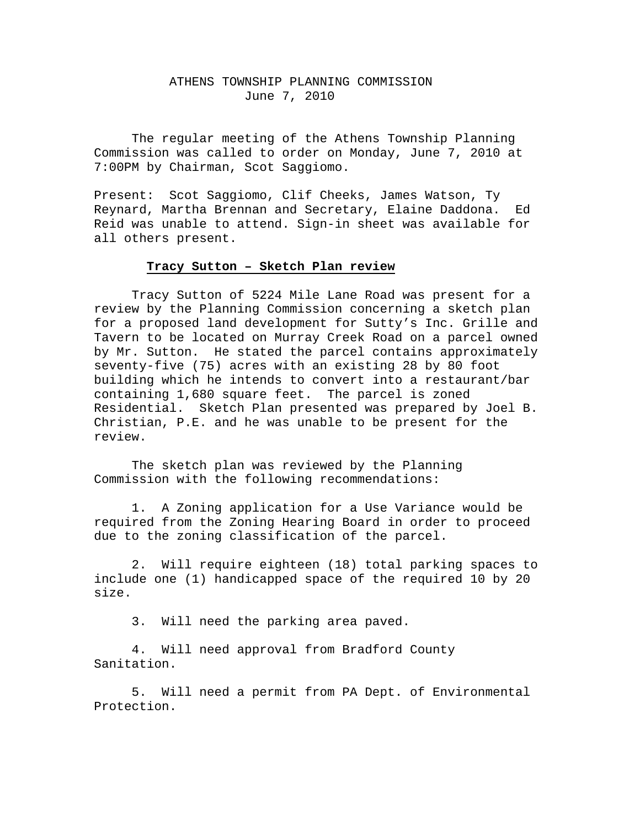## ATHENS TOWNSHIP PLANNING COMMISSION June 7, 2010

The regular meeting of the Athens Township Planning Commission was called to order on Monday, June 7, 2010 at 7:00PM by Chairman, Scot Saggiomo.

Present: Scot Saggiomo, Clif Cheeks, James Watson, Ty Reynard, Martha Brennan and Secretary, Elaine Daddona. Ed Reid was unable to attend. Sign-in sheet was available for all others present.

# **Tracy Sutton – Sketch Plan review**

 Tracy Sutton of 5224 Mile Lane Road was present for a review by the Planning Commission concerning a sketch plan for a proposed land development for Sutty's Inc. Grille and Tavern to be located on Murray Creek Road on a parcel owned by Mr. Sutton. He stated the parcel contains approximately seventy-five (75) acres with an existing 28 by 80 foot building which he intends to convert into a restaurant/bar containing 1,680 square feet. The parcel is zoned Residential. Sketch Plan presented was prepared by Joel B. Christian, P.E. and he was unable to be present for the review.

 The sketch plan was reviewed by the Planning Commission with the following recommendations:

 1. A Zoning application for a Use Variance would be required from the Zoning Hearing Board in order to proceed due to the zoning classification of the parcel.

 2. Will require eighteen (18) total parking spaces to include one (1) handicapped space of the required 10 by 20 size.

3. Will need the parking area paved.

 4. Will need approval from Bradford County Sanitation.

 5. Will need a permit from PA Dept. of Environmental Protection.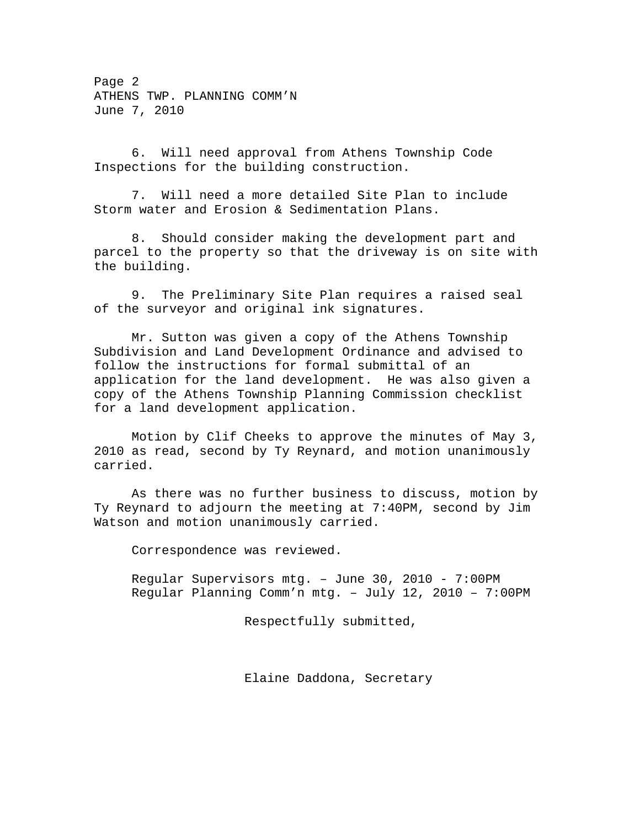Page 2 ATHENS TWP. PLANNING COMM'N June 7, 2010

 6. Will need approval from Athens Township Code Inspections for the building construction.

 7. Will need a more detailed Site Plan to include Storm water and Erosion & Sedimentation Plans.

 8. Should consider making the development part and parcel to the property so that the driveway is on site with the building.

 9. The Preliminary Site Plan requires a raised seal of the surveyor and original ink signatures.

 Mr. Sutton was given a copy of the Athens Township Subdivision and Land Development Ordinance and advised to follow the instructions for formal submittal of an application for the land development. He was also given a copy of the Athens Township Planning Commission checklist for a land development application.

 Motion by Clif Cheeks to approve the minutes of May 3, 2010 as read, second by Ty Reynard, and motion unanimously carried.

 As there was no further business to discuss, motion by Ty Reynard to adjourn the meeting at 7:40PM, second by Jim Watson and motion unanimously carried.

Correspondence was reviewed.

Regular Supervisors mtg. – June 30, 2010 - 7:00PM Regular Planning Comm'n mtg. – July 12, 2010 – 7:00PM

Respectfully submitted,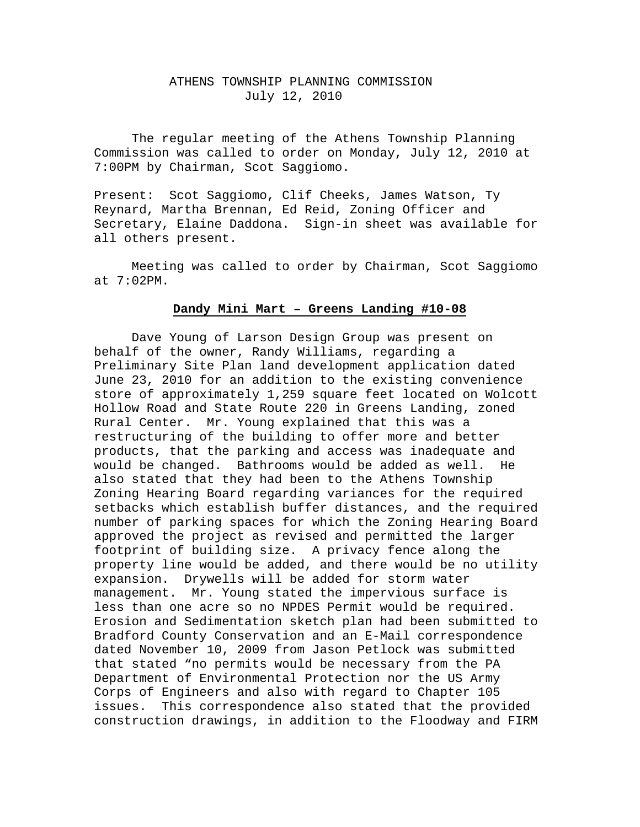## ATHENS TOWNSHIP PLANNING COMMISSION July 12, 2010

The regular meeting of the Athens Township Planning Commission was called to order on Monday, July 12, 2010 at 7:00PM by Chairman, Scot Saggiomo.

Present: Scot Saggiomo, Clif Cheeks, James Watson, Ty Reynard, Martha Brennan, Ed Reid, Zoning Officer and Secretary, Elaine Daddona. Sign-in sheet was available for all others present.

 Meeting was called to order by Chairman, Scot Saggiomo at 7:02PM.

# **Dandy Mini Mart – Greens Landing #10-08**

 Dave Young of Larson Design Group was present on behalf of the owner, Randy Williams, regarding a Preliminary Site Plan land development application dated June 23, 2010 for an addition to the existing convenience store of approximately 1,259 square feet located on Wolcott Hollow Road and State Route 220 in Greens Landing, zoned Rural Center. Mr. Young explained that this was a restructuring of the building to offer more and better products, that the parking and access was inadequate and would be changed. Bathrooms would be added as well. He also stated that they had been to the Athens Township Zoning Hearing Board regarding variances for the required setbacks which establish buffer distances, and the required number of parking spaces for which the Zoning Hearing Board approved the project as revised and permitted the larger footprint of building size. A privacy fence along the property line would be added, and there would be no utility expansion. Drywells will be added for storm water management. Mr. Young stated the impervious surface is less than one acre so no NPDES Permit would be required. Erosion and Sedimentation sketch plan had been submitted to Bradford County Conservation and an E-Mail correspondence dated November 10, 2009 from Jason Petlock was submitted that stated "no permits would be necessary from the PA Department of Environmental Protection nor the US Army Corps of Engineers and also with regard to Chapter 105 issues. This correspondence also stated that the provided construction drawings, in addition to the Floodway and FIRM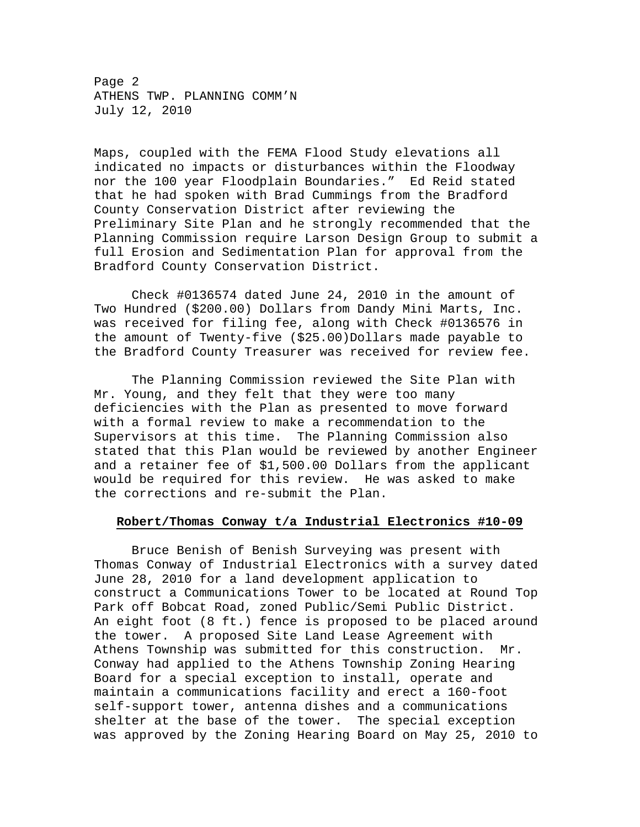Page 2 ATHENS TWP. PLANNING COMM'N July 12, 2010

Maps, coupled with the FEMA Flood Study elevations all indicated no impacts or disturbances within the Floodway nor the 100 year Floodplain Boundaries." Ed Reid stated that he had spoken with Brad Cummings from the Bradford County Conservation District after reviewing the Preliminary Site Plan and he strongly recommended that the Planning Commission require Larson Design Group to submit a full Erosion and Sedimentation Plan for approval from the Bradford County Conservation District.

 Check #0136574 dated June 24, 2010 in the amount of Two Hundred (\$200.00) Dollars from Dandy Mini Marts, Inc. was received for filing fee, along with Check #0136576 in the amount of Twenty-five (\$25.00)Dollars made payable to the Bradford County Treasurer was received for review fee.

 The Planning Commission reviewed the Site Plan with Mr. Young, and they felt that they were too many deficiencies with the Plan as presented to move forward with a formal review to make a recommendation to the Supervisors at this time. The Planning Commission also stated that this Plan would be reviewed by another Engineer and a retainer fee of \$1,500.00 Dollars from the applicant would be required for this review. He was asked to make the corrections and re-submit the Plan.

#### **Robert/Thomas Conway t/a Industrial Electronics #10-09**

 Bruce Benish of Benish Surveying was present with Thomas Conway of Industrial Electronics with a survey dated June 28, 2010 for a land development application to construct a Communications Tower to be located at Round Top Park off Bobcat Road, zoned Public/Semi Public District. An eight foot (8 ft.) fence is proposed to be placed around the tower. A proposed Site Land Lease Agreement with Athens Township was submitted for this construction. Mr. Conway had applied to the Athens Township Zoning Hearing Board for a special exception to install, operate and maintain a communications facility and erect a 160-foot self-support tower, antenna dishes and a communications shelter at the base of the tower. The special exception was approved by the Zoning Hearing Board on May 25, 2010 to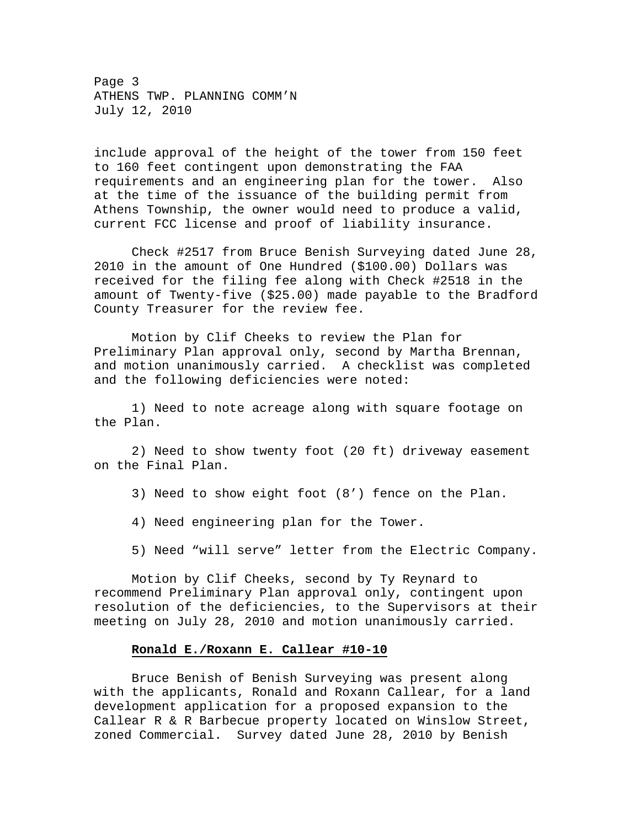Page 3 ATHENS TWP. PLANNING COMM'N July 12, 2010

include approval of the height of the tower from 150 feet to 160 feet contingent upon demonstrating the FAA requirements and an engineering plan for the tower. Also at the time of the issuance of the building permit from Athens Township, the owner would need to produce a valid, current FCC license and proof of liability insurance.

 Check #2517 from Bruce Benish Surveying dated June 28, 2010 in the amount of One Hundred (\$100.00) Dollars was received for the filing fee along with Check #2518 in the amount of Twenty-five (\$25.00) made payable to the Bradford County Treasurer for the review fee.

 Motion by Clif Cheeks to review the Plan for Preliminary Plan approval only, second by Martha Brennan, and motion unanimously carried. A checklist was completed and the following deficiencies were noted:

 1) Need to note acreage along with square footage on the Plan.

 2) Need to show twenty foot (20 ft) driveway easement on the Final Plan.

- 3) Need to show eight foot (8') fence on the Plan.
- 4) Need engineering plan for the Tower.
- 5) Need "will serve" letter from the Electric Company.

 Motion by Clif Cheeks, second by Ty Reynard to recommend Preliminary Plan approval only, contingent upon resolution of the deficiencies, to the Supervisors at their meeting on July 28, 2010 and motion unanimously carried.

#### **Ronald E./Roxann E. Callear #10-10**

 Bruce Benish of Benish Surveying was present along with the applicants, Ronald and Roxann Callear, for a land development application for a proposed expansion to the Callear R & R Barbecue property located on Winslow Street, zoned Commercial. Survey dated June 28, 2010 by Benish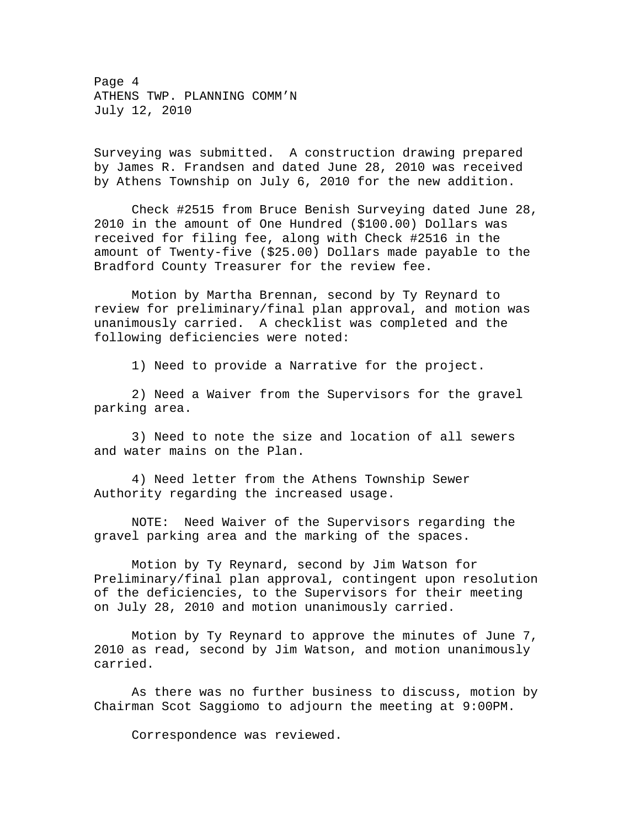Page 4 ATHENS TWP. PLANNING COMM'N July 12, 2010

Surveying was submitted. A construction drawing prepared by James R. Frandsen and dated June 28, 2010 was received by Athens Township on July 6, 2010 for the new addition.

 Check #2515 from Bruce Benish Surveying dated June 28, 2010 in the amount of One Hundred (\$100.00) Dollars was received for filing fee, along with Check #2516 in the amount of Twenty-five (\$25.00) Dollars made payable to the Bradford County Treasurer for the review fee.

 Motion by Martha Brennan, second by Ty Reynard to review for preliminary/final plan approval, and motion was unanimously carried. A checklist was completed and the following deficiencies were noted:

1) Need to provide a Narrative for the project.

 2) Need a Waiver from the Supervisors for the gravel parking area.

 3) Need to note the size and location of all sewers and water mains on the Plan.

 4) Need letter from the Athens Township Sewer Authority regarding the increased usage.

 NOTE: Need Waiver of the Supervisors regarding the gravel parking area and the marking of the spaces.

 Motion by Ty Reynard, second by Jim Watson for Preliminary/final plan approval, contingent upon resolution of the deficiencies, to the Supervisors for their meeting on July 28, 2010 and motion unanimously carried.

 Motion by Ty Reynard to approve the minutes of June 7, 2010 as read, second by Jim Watson, and motion unanimously carried.

 As there was no further business to discuss, motion by Chairman Scot Saggiomo to adjourn the meeting at 9:00PM.

Correspondence was reviewed.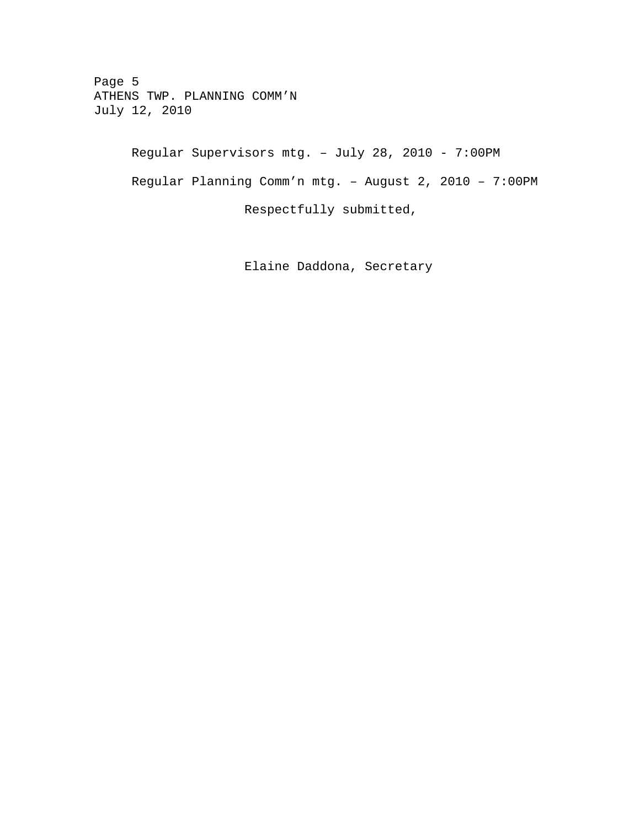Page 5 ATHENS TWP. PLANNING COMM'N July 12, 2010

> Regular Supervisors mtg. – July 28, 2010 - 7:00PM Regular Planning Comm'n mtg. – August 2, 2010 – 7:00PM Respectfully submitted,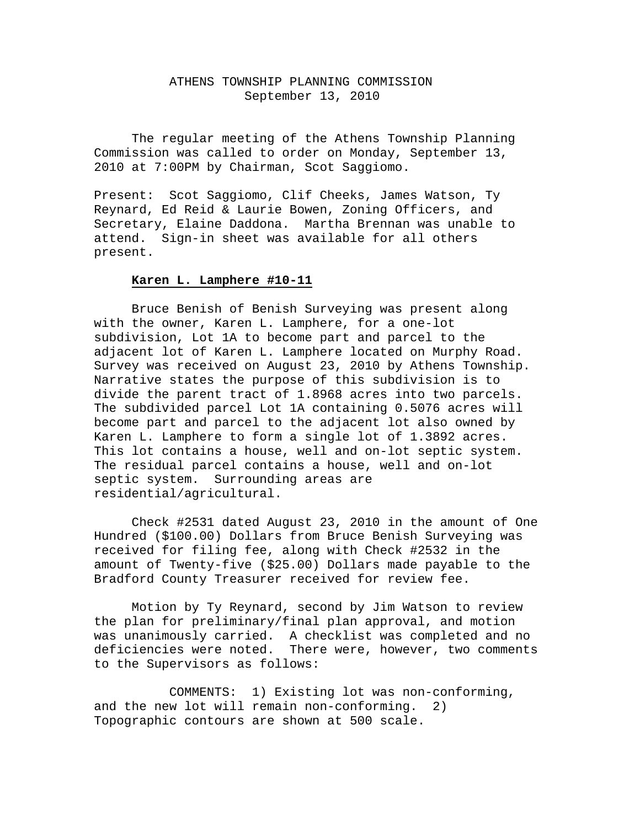## ATHENS TOWNSHIP PLANNING COMMISSION September 13, 2010

The regular meeting of the Athens Township Planning Commission was called to order on Monday, September 13, 2010 at 7:00PM by Chairman, Scot Saggiomo.

Present: Scot Saggiomo, Clif Cheeks, James Watson, Ty Reynard, Ed Reid & Laurie Bowen, Zoning Officers, and Secretary, Elaine Daddona. Martha Brennan was unable to attend. Sign-in sheet was available for all others present.

#### **Karen L. Lamphere #10-11**

 Bruce Benish of Benish Surveying was present along with the owner, Karen L. Lamphere, for a one-lot subdivision, Lot 1A to become part and parcel to the adjacent lot of Karen L. Lamphere located on Murphy Road. Survey was received on August 23, 2010 by Athens Township. Narrative states the purpose of this subdivision is to divide the parent tract of 1.8968 acres into two parcels. The subdivided parcel Lot 1A containing 0.5076 acres will become part and parcel to the adjacent lot also owned by Karen L. Lamphere to form a single lot of 1.3892 acres. This lot contains a house, well and on-lot septic system. The residual parcel contains a house, well and on-lot septic system. Surrounding areas are residential/agricultural.

 Check #2531 dated August 23, 2010 in the amount of One Hundred (\$100.00) Dollars from Bruce Benish Surveying was received for filing fee, along with Check #2532 in the amount of Twenty-five (\$25.00) Dollars made payable to the Bradford County Treasurer received for review fee.

 Motion by Ty Reynard, second by Jim Watson to review the plan for preliminary/final plan approval, and motion was unanimously carried. A checklist was completed and no deficiencies were noted. There were, however, two comments to the Supervisors as follows:

 COMMENTS: 1) Existing lot was non-conforming, and the new lot will remain non-conforming. 2) Topographic contours are shown at 500 scale.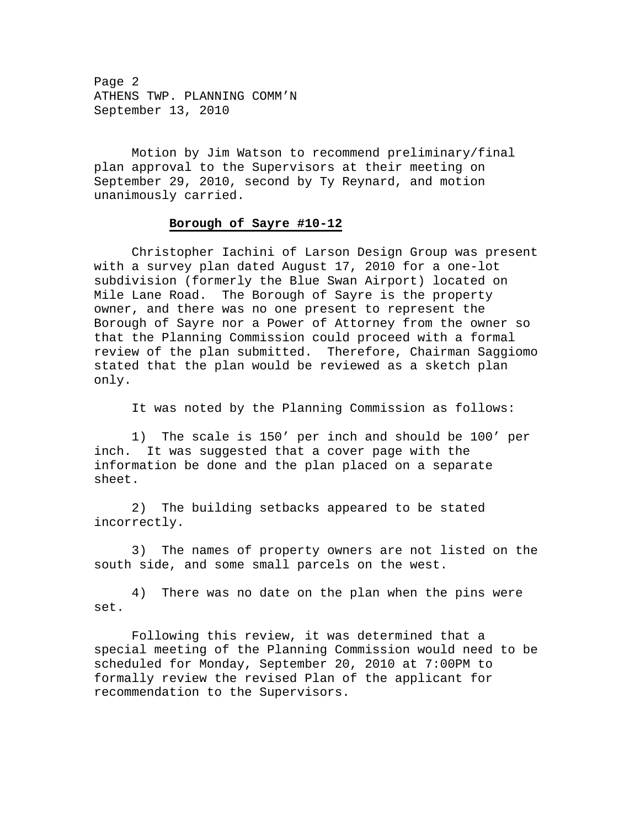Page 2 ATHENS TWP. PLANNING COMM'N September 13, 2010

 Motion by Jim Watson to recommend preliminary/final plan approval to the Supervisors at their meeting on September 29, 2010, second by Ty Reynard, and motion unanimously carried.

#### **Borough of Sayre #10-12**

 Christopher Iachini of Larson Design Group was present with a survey plan dated August 17, 2010 for a one-lot subdivision (formerly the Blue Swan Airport) located on Mile Lane Road. The Borough of Sayre is the property owner, and there was no one present to represent the Borough of Sayre nor a Power of Attorney from the owner so that the Planning Commission could proceed with a formal review of the plan submitted. Therefore, Chairman Saggiomo stated that the plan would be reviewed as a sketch plan only.

It was noted by the Planning Commission as follows:

 1) The scale is 150' per inch and should be 100' per inch. It was suggested that a cover page with the information be done and the plan placed on a separate sheet.

 2) The building setbacks appeared to be stated incorrectly.

 3) The names of property owners are not listed on the south side, and some small parcels on the west.

 4) There was no date on the plan when the pins were set.

 Following this review, it was determined that a special meeting of the Planning Commission would need to be scheduled for Monday, September 20, 2010 at 7:00PM to formally review the revised Plan of the applicant for recommendation to the Supervisors.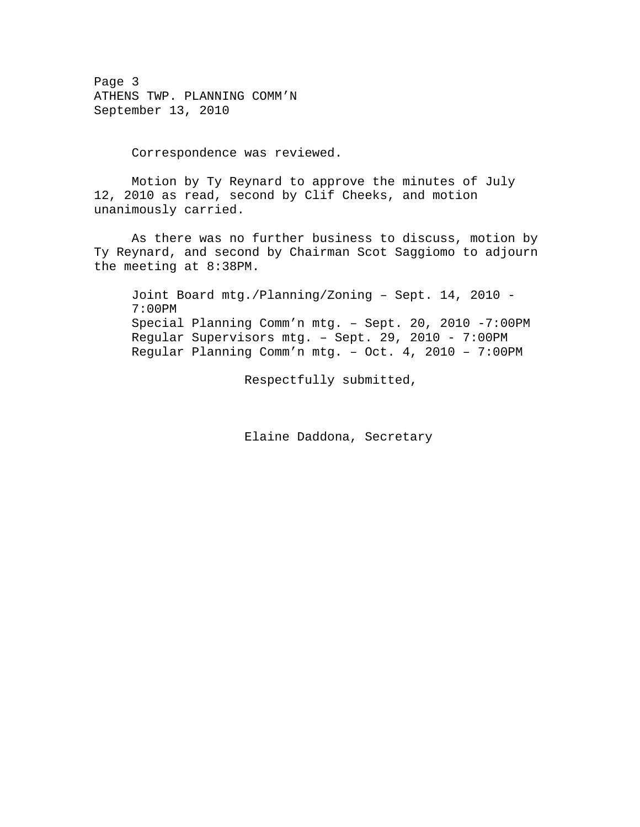Page 3 ATHENS TWP. PLANNING COMM'N September 13, 2010

Correspondence was reviewed.

 Motion by Ty Reynard to approve the minutes of July 12, 2010 as read, second by Clif Cheeks, and motion unanimously carried.

 As there was no further business to discuss, motion by Ty Reynard, and second by Chairman Scot Saggiomo to adjourn the meeting at 8:38PM.

Joint Board mtg./Planning/Zoning – Sept. 14, 2010 - 7:00PM Special Planning Comm'n mtg. – Sept. 20, 2010 -7:00PM Regular Supervisors mtg. – Sept. 29, 2010 - 7:00PM Regular Planning Comm'n mtg. – Oct. 4, 2010 – 7:00PM

Respectfully submitted,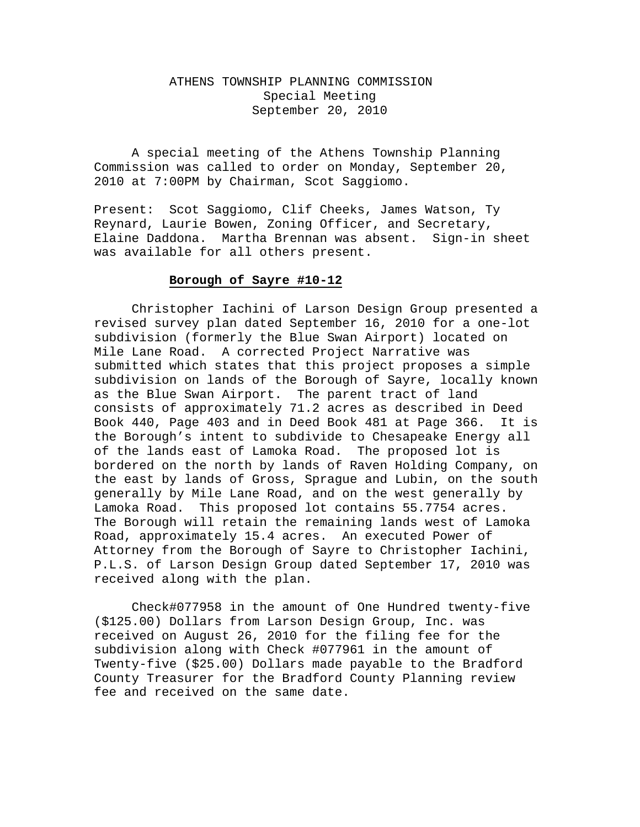# ATHENS TOWNSHIP PLANNING COMMISSION Special Meeting September 20, 2010

A special meeting of the Athens Township Planning Commission was called to order on Monday, September 20, 2010 at 7:00PM by Chairman, Scot Saggiomo.

Present: Scot Saggiomo, Clif Cheeks, James Watson, Ty Reynard, Laurie Bowen, Zoning Officer, and Secretary, Elaine Daddona. Martha Brennan was absent. Sign-in sheet was available for all others present.

#### **Borough of Sayre #10-12**

 Christopher Iachini of Larson Design Group presented a revised survey plan dated September 16, 2010 for a one-lot subdivision (formerly the Blue Swan Airport) located on Mile Lane Road. A corrected Project Narrative was submitted which states that this project proposes a simple subdivision on lands of the Borough of Sayre, locally known as the Blue Swan Airport. The parent tract of land consists of approximately 71.2 acres as described in Deed Book 440, Page 403 and in Deed Book 481 at Page 366. It is the Borough's intent to subdivide to Chesapeake Energy all of the lands east of Lamoka Road. The proposed lot is bordered on the north by lands of Raven Holding Company, on the east by lands of Gross, Sprague and Lubin, on the south generally by Mile Lane Road, and on the west generally by Lamoka Road. This proposed lot contains 55.7754 acres. The Borough will retain the remaining lands west of Lamoka Road, approximately 15.4 acres. An executed Power of Attorney from the Borough of Sayre to Christopher Iachini, P.L.S. of Larson Design Group dated September 17, 2010 was received along with the plan.

 Check#077958 in the amount of One Hundred twenty-five (\$125.00) Dollars from Larson Design Group, Inc. was received on August 26, 2010 for the filing fee for the subdivision along with Check #077961 in the amount of Twenty-five (\$25.00) Dollars made payable to the Bradford County Treasurer for the Bradford County Planning review fee and received on the same date.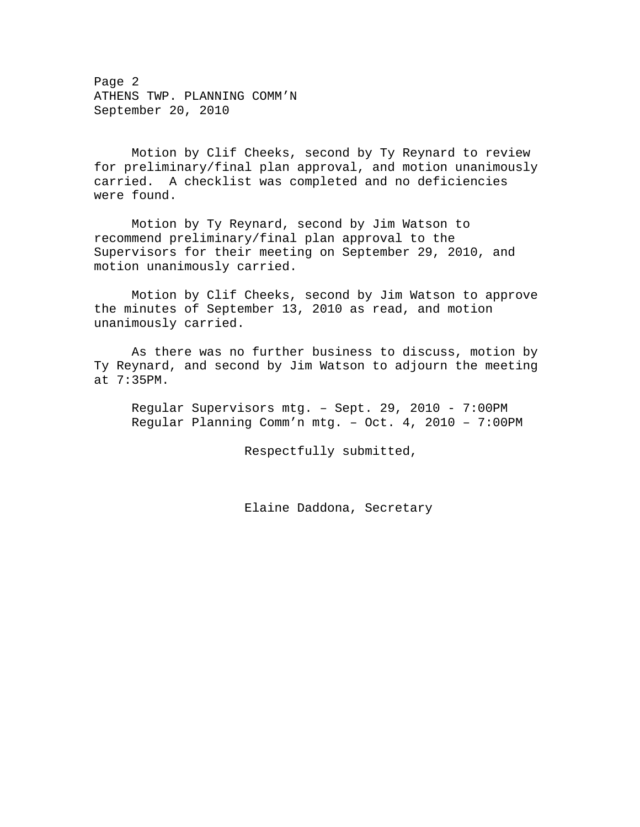Page 2 ATHENS TWP. PLANNING COMM'N September 20, 2010

 Motion by Clif Cheeks, second by Ty Reynard to review for preliminary/final plan approval, and motion unanimously carried. A checklist was completed and no deficiencies were found.

 Motion by Ty Reynard, second by Jim Watson to recommend preliminary/final plan approval to the Supervisors for their meeting on September 29, 2010, and motion unanimously carried.

 Motion by Clif Cheeks, second by Jim Watson to approve the minutes of September 13, 2010 as read, and motion unanimously carried.

 As there was no further business to discuss, motion by Ty Reynard, and second by Jim Watson to adjourn the meeting at 7:35PM.

Regular Supervisors mtg. – Sept. 29, 2010 - 7:00PM Regular Planning Comm'n mtg. – Oct. 4, 2010 – 7:00PM

Respectfully submitted,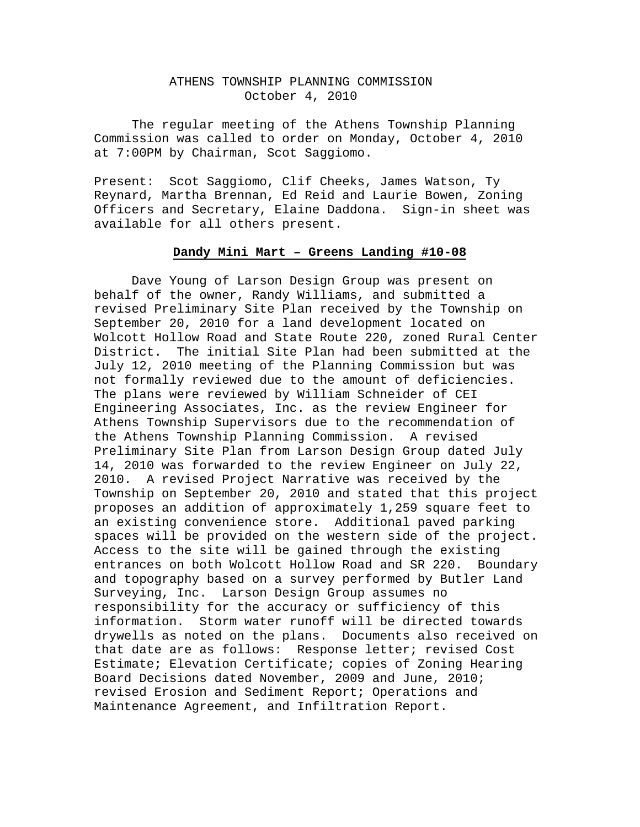## ATHENS TOWNSHIP PLANNING COMMISSION October 4, 2010

The regular meeting of the Athens Township Planning Commission was called to order on Monday, October 4, 2010 at 7:00PM by Chairman, Scot Saggiomo.

Present: Scot Saggiomo, Clif Cheeks, James Watson, Ty Reynard, Martha Brennan, Ed Reid and Laurie Bowen, Zoning Officers and Secretary, Elaine Daddona. Sign-in sheet was available for all others present.

### **Dandy Mini Mart – Greens Landing #10-08**

 Dave Young of Larson Design Group was present on behalf of the owner, Randy Williams, and submitted a revised Preliminary Site Plan received by the Township on September 20, 2010 for a land development located on Wolcott Hollow Road and State Route 220, zoned Rural Center District. The initial Site Plan had been submitted at the July 12, 2010 meeting of the Planning Commission but was not formally reviewed due to the amount of deficiencies. The plans were reviewed by William Schneider of CEI Engineering Associates, Inc. as the review Engineer for Athens Township Supervisors due to the recommendation of the Athens Township Planning Commission. A revised Preliminary Site Plan from Larson Design Group dated July 14, 2010 was forwarded to the review Engineer on July 22, 2010. A revised Project Narrative was received by the Township on September 20, 2010 and stated that this project proposes an addition of approximately 1,259 square feet to an existing convenience store. Additional paved parking spaces will be provided on the western side of the project. Access to the site will be gained through the existing entrances on both Wolcott Hollow Road and SR 220. Boundary and topography based on a survey performed by Butler Land Surveying, Inc. Larson Design Group assumes no responsibility for the accuracy or sufficiency of this information. Storm water runoff will be directed towards drywells as noted on the plans. Documents also received on that date are as follows: Response letter; revised Cost Estimate; Elevation Certificate; copies of Zoning Hearing Board Decisions dated November, 2009 and June, 2010; revised Erosion and Sediment Report; Operations and Maintenance Agreement, and Infiltration Report.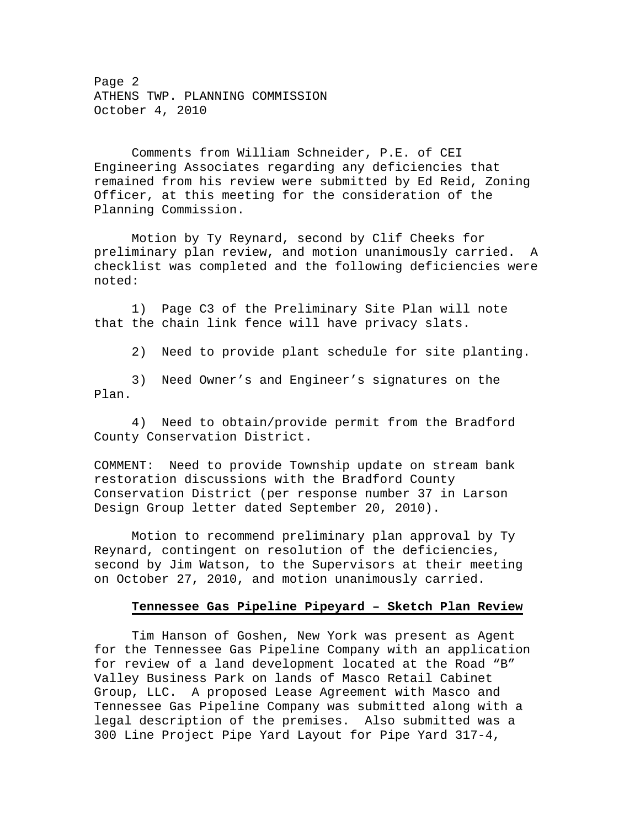Page 2 ATHENS TWP. PLANNING COMMISSION October 4, 2010

 Comments from William Schneider, P.E. of CEI Engineering Associates regarding any deficiencies that remained from his review were submitted by Ed Reid, Zoning Officer, at this meeting for the consideration of the Planning Commission.

 Motion by Ty Reynard, second by Clif Cheeks for preliminary plan review, and motion unanimously carried. A checklist was completed and the following deficiencies were noted:

 1) Page C3 of the Preliminary Site Plan will note that the chain link fence will have privacy slats.

2) Need to provide plant schedule for site planting.

 3) Need Owner's and Engineer's signatures on the Plan.

 4) Need to obtain/provide permit from the Bradford County Conservation District.

COMMENT: Need to provide Township update on stream bank restoration discussions with the Bradford County Conservation District (per response number 37 in Larson Design Group letter dated September 20, 2010).

 Motion to recommend preliminary plan approval by Ty Reynard, contingent on resolution of the deficiencies, second by Jim Watson, to the Supervisors at their meeting on October 27, 2010, and motion unanimously carried.

#### **Tennessee Gas Pipeline Pipeyard – Sketch Plan Review**

 Tim Hanson of Goshen, New York was present as Agent for the Tennessee Gas Pipeline Company with an application for review of a land development located at the Road "B" Valley Business Park on lands of Masco Retail Cabinet Group, LLC. A proposed Lease Agreement with Masco and Tennessee Gas Pipeline Company was submitted along with a legal description of the premises. Also submitted was a 300 Line Project Pipe Yard Layout for Pipe Yard 317-4,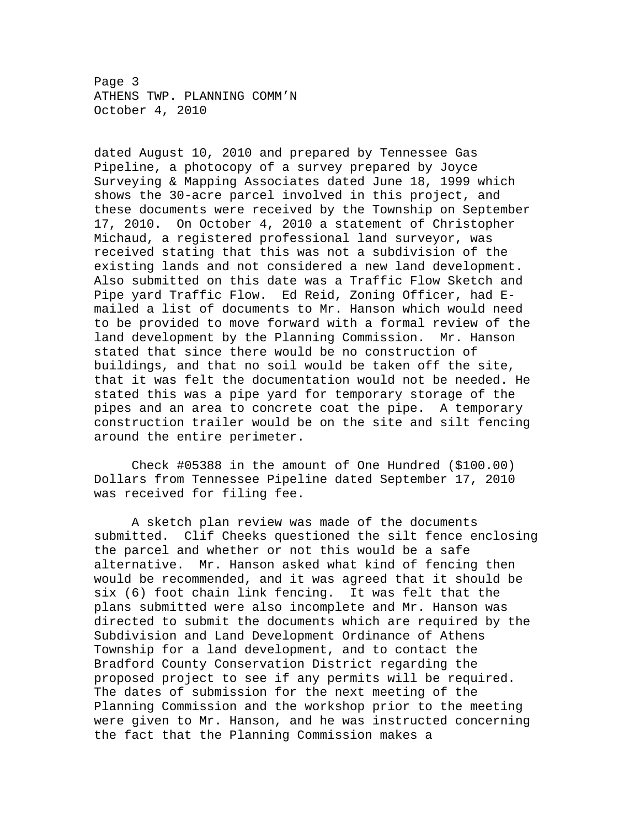Page 3 ATHENS TWP. PLANNING COMM'N October 4, 2010

dated August 10, 2010 and prepared by Tennessee Gas Pipeline, a photocopy of a survey prepared by Joyce Surveying & Mapping Associates dated June 18, 1999 which shows the 30-acre parcel involved in this project, and these documents were received by the Township on September 17, 2010. On October 4, 2010 a statement of Christopher Michaud, a registered professional land surveyor, was received stating that this was not a subdivision of the existing lands and not considered a new land development. Also submitted on this date was a Traffic Flow Sketch and Pipe yard Traffic Flow. Ed Reid, Zoning Officer, had Emailed a list of documents to Mr. Hanson which would need to be provided to move forward with a formal review of the land development by the Planning Commission. Mr. Hanson stated that since there would be no construction of buildings, and that no soil would be taken off the site, that it was felt the documentation would not be needed. He stated this was a pipe yard for temporary storage of the pipes and an area to concrete coat the pipe. A temporary construction trailer would be on the site and silt fencing around the entire perimeter.

 Check #05388 in the amount of One Hundred (\$100.00) Dollars from Tennessee Pipeline dated September 17, 2010 was received for filing fee.

 A sketch plan review was made of the documents submitted. Clif Cheeks questioned the silt fence enclosing the parcel and whether or not this would be a safe alternative. Mr. Hanson asked what kind of fencing then would be recommended, and it was agreed that it should be six (6) foot chain link fencing. It was felt that the plans submitted were also incomplete and Mr. Hanson was directed to submit the documents which are required by the Subdivision and Land Development Ordinance of Athens Township for a land development, and to contact the Bradford County Conservation District regarding the proposed project to see if any permits will be required. The dates of submission for the next meeting of the Planning Commission and the workshop prior to the meeting were given to Mr. Hanson, and he was instructed concerning the fact that the Planning Commission makes a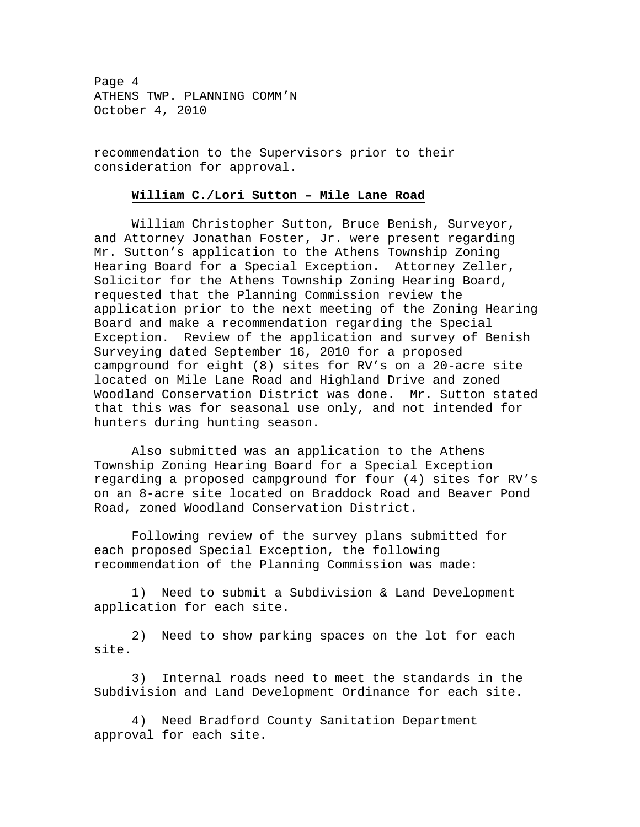Page 4 ATHENS TWP. PLANNING COMM'N October 4, 2010

recommendation to the Supervisors prior to their consideration for approval.

## **William C./Lori Sutton – Mile Lane Road**

 William Christopher Sutton, Bruce Benish, Surveyor, and Attorney Jonathan Foster, Jr. were present regarding Mr. Sutton's application to the Athens Township Zoning Hearing Board for a Special Exception. Attorney Zeller, Solicitor for the Athens Township Zoning Hearing Board, requested that the Planning Commission review the application prior to the next meeting of the Zoning Hearing Board and make a recommendation regarding the Special Exception. Review of the application and survey of Benish Surveying dated September 16, 2010 for a proposed campground for eight (8) sites for RV's on a 20-acre site located on Mile Lane Road and Highland Drive and zoned Woodland Conservation District was done. Mr. Sutton stated that this was for seasonal use only, and not intended for hunters during hunting season.

 Also submitted was an application to the Athens Township Zoning Hearing Board for a Special Exception regarding a proposed campground for four (4) sites for RV's on an 8-acre site located on Braddock Road and Beaver Pond Road, zoned Woodland Conservation District.

 Following review of the survey plans submitted for each proposed Special Exception, the following recommendation of the Planning Commission was made:

 1) Need to submit a Subdivision & Land Development application for each site.

 2) Need to show parking spaces on the lot for each site.

 3) Internal roads need to meet the standards in the Subdivision and Land Development Ordinance for each site.

 4) Need Bradford County Sanitation Department approval for each site.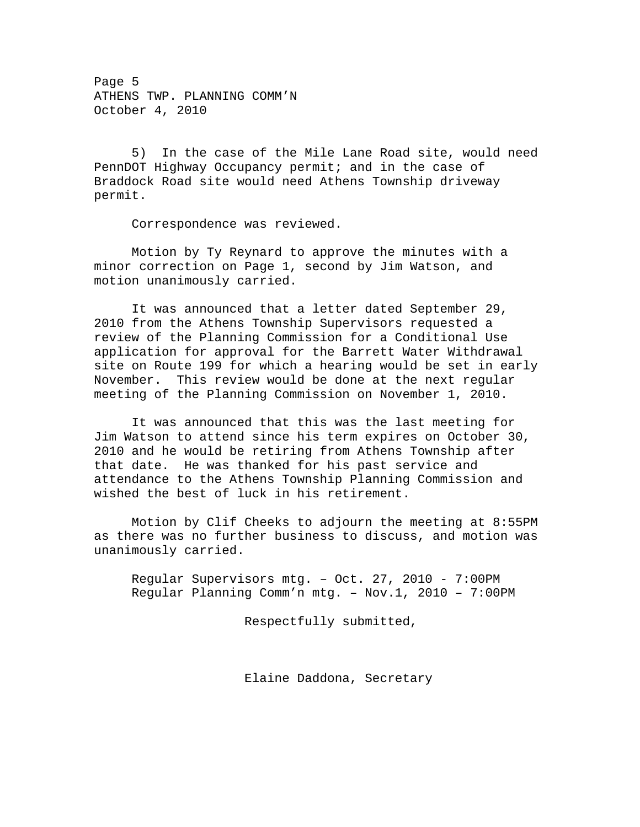Page 5 ATHENS TWP. PLANNING COMM'N October 4, 2010

 5) In the case of the Mile Lane Road site, would need PennDOT Highway Occupancy permit; and in the case of Braddock Road site would need Athens Township driveway permit.

Correspondence was reviewed.

 Motion by Ty Reynard to approve the minutes with a minor correction on Page 1, second by Jim Watson, and motion unanimously carried.

 It was announced that a letter dated September 29, 2010 from the Athens Township Supervisors requested a review of the Planning Commission for a Conditional Use application for approval for the Barrett Water Withdrawal site on Route 199 for which a hearing would be set in early November. This review would be done at the next regular meeting of the Planning Commission on November 1, 2010.

 It was announced that this was the last meeting for Jim Watson to attend since his term expires on October 30, 2010 and he would be retiring from Athens Township after that date. He was thanked for his past service and attendance to the Athens Township Planning Commission and wished the best of luck in his retirement.

 Motion by Clif Cheeks to adjourn the meeting at 8:55PM as there was no further business to discuss, and motion was unanimously carried.

Regular Supervisors mtg. – Oct. 27, 2010 - 7:00PM Regular Planning Comm'n mtg. – Nov.1, 2010 – 7:00PM

Respectfully submitted,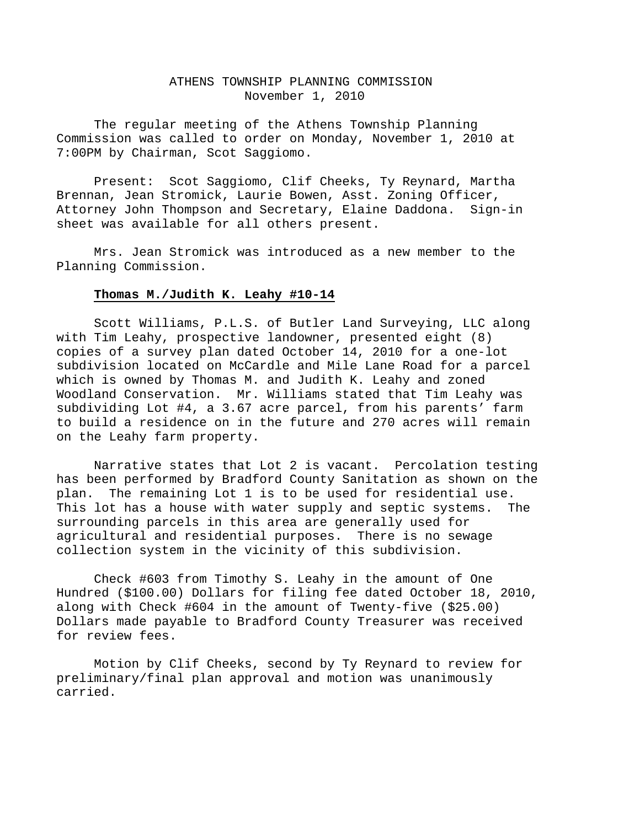### ATHENS TOWNSHIP PLANNING COMMISSION November 1, 2010

The regular meeting of the Athens Township Planning Commission was called to order on Monday, November 1, 2010 at 7:00PM by Chairman, Scot Saggiomo.

Present: Scot Saggiomo, Clif Cheeks, Ty Reynard, Martha Brennan, Jean Stromick, Laurie Bowen, Asst. Zoning Officer, Attorney John Thompson and Secretary, Elaine Daddona. Sign-in sheet was available for all others present.

Mrs. Jean Stromick was introduced as a new member to the Planning Commission.

#### **Thomas M./Judith K. Leahy #10-14**

Scott Williams, P.L.S. of Butler Land Surveying, LLC along with Tim Leahy, prospective landowner, presented eight (8) copies of a survey plan dated October 14, 2010 for a one-lot subdivision located on McCardle and Mile Lane Road for a parcel which is owned by Thomas M. and Judith K. Leahy and zoned Woodland Conservation. Mr. Williams stated that Tim Leahy was subdividing Lot #4, a 3.67 acre parcel, from his parents' farm to build a residence on in the future and 270 acres will remain on the Leahy farm property.

Narrative states that Lot 2 is vacant. Percolation testing has been performed by Bradford County Sanitation as shown on the plan. The remaining Lot 1 is to be used for residential use. This lot has a house with water supply and septic systems. The surrounding parcels in this area are generally used for agricultural and residential purposes. There is no sewage collection system in the vicinity of this subdivision.

Check #603 from Timothy S. Leahy in the amount of One Hundred (\$100.00) Dollars for filing fee dated October 18, 2010, along with Check #604 in the amount of Twenty-five (\$25.00) Dollars made payable to Bradford County Treasurer was received for review fees.

Motion by Clif Cheeks, second by Ty Reynard to review for preliminary/final plan approval and motion was unanimously carried.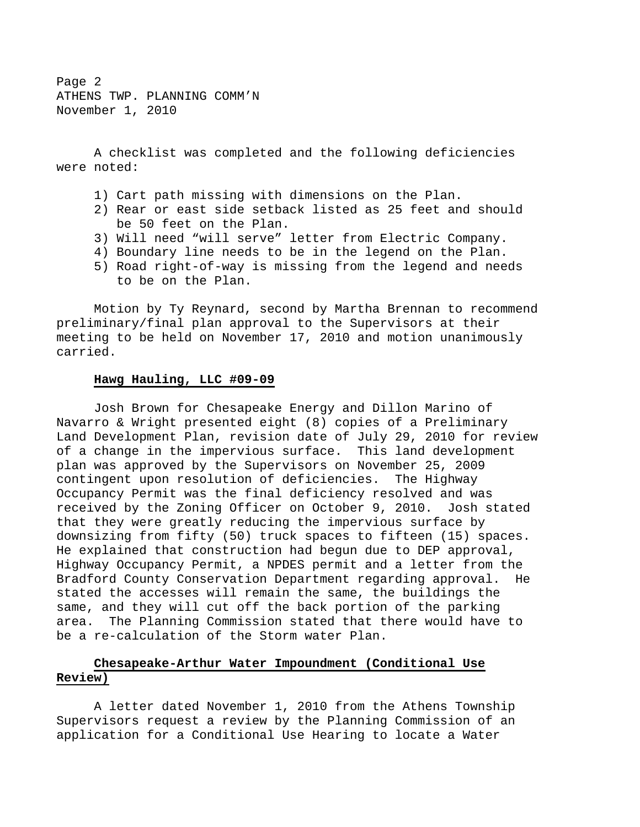Page 2 ATHENS TWP. PLANNING COMM'N November 1, 2010

A checklist was completed and the following deficiencies were noted:

- 1) Cart path missing with dimensions on the Plan.
- 2) Rear or east side setback listed as 25 feet and should be 50 feet on the Plan.
- 3) Will need "will serve" letter from Electric Company.
- 4) Boundary line needs to be in the legend on the Plan.
- 5) Road right-of-way is missing from the legend and needs to be on the Plan.

Motion by Ty Reynard, second by Martha Brennan to recommend preliminary/final plan approval to the Supervisors at their meeting to be held on November 17, 2010 and motion unanimously carried.

## **Hawg Hauling, LLC #09-09**

Josh Brown for Chesapeake Energy and Dillon Marino of Navarro & Wright presented eight (8) copies of a Preliminary Land Development Plan, revision date of July 29, 2010 for review of a change in the impervious surface. This land development plan was approved by the Supervisors on November 25, 2009 contingent upon resolution of deficiencies. The Highway Occupancy Permit was the final deficiency resolved and was received by the Zoning Officer on October 9, 2010. Josh stated that they were greatly reducing the impervious surface by downsizing from fifty (50) truck spaces to fifteen (15) spaces. He explained that construction had begun due to DEP approval, Highway Occupancy Permit, a NPDES permit and a letter from the Bradford County Conservation Department regarding approval. He stated the accesses will remain the same, the buildings the same, and they will cut off the back portion of the parking area. The Planning Commission stated that there would have to be a re-calculation of the Storm water Plan.

# **Chesapeake-Arthur Water Impoundment (Conditional Use Review)**

A letter dated November 1, 2010 from the Athens Township Supervisors request a review by the Planning Commission of an application for a Conditional Use Hearing to locate a Water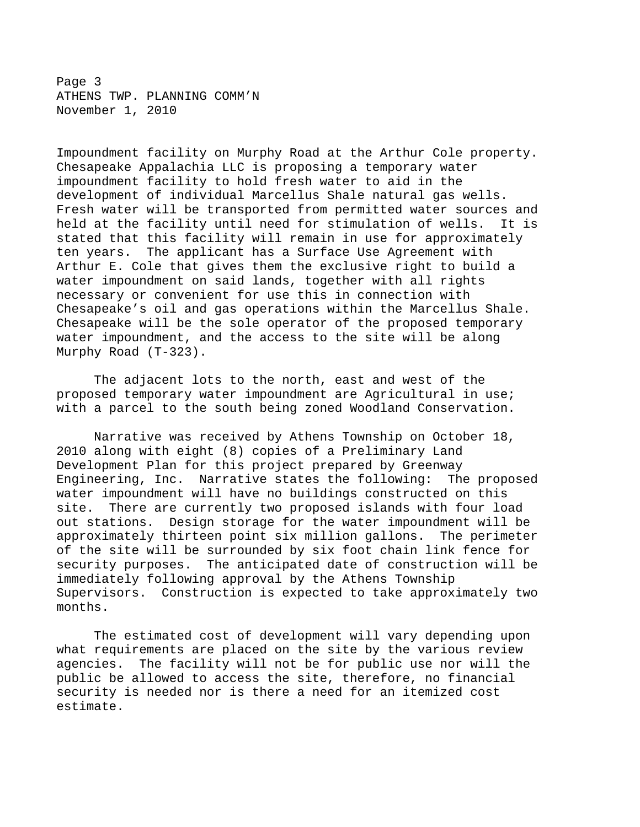Page 3 ATHENS TWP. PLANNING COMM'N November 1, 2010

Impoundment facility on Murphy Road at the Arthur Cole property. Chesapeake Appalachia LLC is proposing a temporary water impoundment facility to hold fresh water to aid in the development of individual Marcellus Shale natural gas wells. Fresh water will be transported from permitted water sources and held at the facility until need for stimulation of wells. It is stated that this facility will remain in use for approximately ten years. The applicant has a Surface Use Agreement with Arthur E. Cole that gives them the exclusive right to build a water impoundment on said lands, together with all rights necessary or convenient for use this in connection with Chesapeake's oil and gas operations within the Marcellus Shale. Chesapeake will be the sole operator of the proposed temporary water impoundment, and the access to the site will be along Murphy Road (T-323).

The adjacent lots to the north, east and west of the proposed temporary water impoundment are Agricultural in use; with a parcel to the south being zoned Woodland Conservation.

Narrative was received by Athens Township on October 18, 2010 along with eight (8) copies of a Preliminary Land Development Plan for this project prepared by Greenway Engineering, Inc. Narrative states the following: The proposed water impoundment will have no buildings constructed on this site. There are currently two proposed islands with four load out stations. Design storage for the water impoundment will be approximately thirteen point six million gallons. The perimeter of the site will be surrounded by six foot chain link fence for security purposes. The anticipated date of construction will be immediately following approval by the Athens Township Supervisors. Construction is expected to take approximately two months.

The estimated cost of development will vary depending upon what requirements are placed on the site by the various review agencies. The facility will not be for public use nor will the public be allowed to access the site, therefore, no financial security is needed nor is there a need for an itemized cost estimate.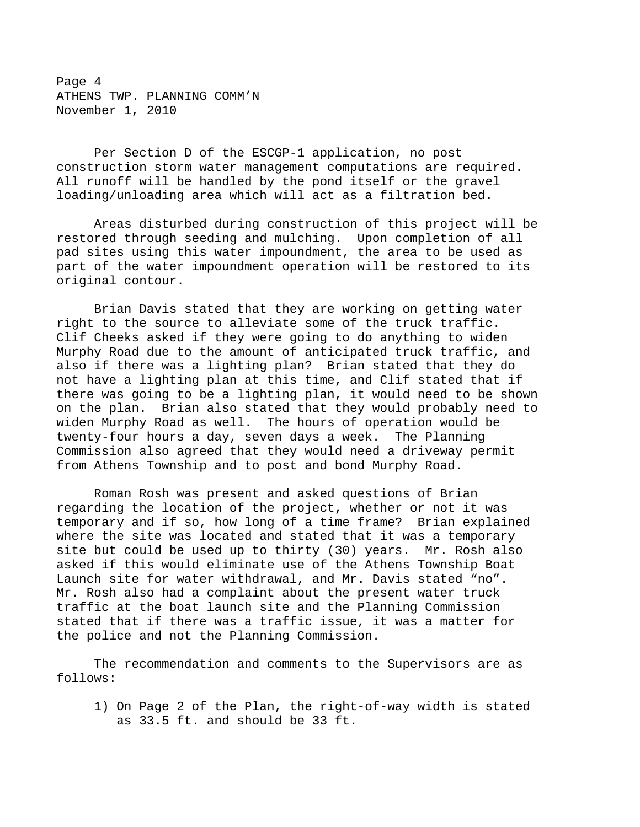Page 4 ATHENS TWP. PLANNING COMM'N November 1, 2010

Per Section D of the ESCGP-1 application, no post construction storm water management computations are required. All runoff will be handled by the pond itself or the gravel loading/unloading area which will act as a filtration bed.

Areas disturbed during construction of this project will be restored through seeding and mulching. Upon completion of all pad sites using this water impoundment, the area to be used as part of the water impoundment operation will be restored to its original contour.

Brian Davis stated that they are working on getting water right to the source to alleviate some of the truck traffic. Clif Cheeks asked if they were going to do anything to widen Murphy Road due to the amount of anticipated truck traffic, and also if there was a lighting plan? Brian stated that they do not have a lighting plan at this time, and Clif stated that if there was going to be a lighting plan, it would need to be shown on the plan. Brian also stated that they would probably need to widen Murphy Road as well. The hours of operation would be twenty-four hours a day, seven days a week. The Planning Commission also agreed that they would need a driveway permit from Athens Township and to post and bond Murphy Road.

Roman Rosh was present and asked questions of Brian regarding the location of the project, whether or not it was temporary and if so, how long of a time frame? Brian explained where the site was located and stated that it was a temporary site but could be used up to thirty (30) years. Mr. Rosh also asked if this would eliminate use of the Athens Township Boat Launch site for water withdrawal, and Mr. Davis stated "no". Mr. Rosh also had a complaint about the present water truck traffic at the boat launch site and the Planning Commission stated that if there was a traffic issue, it was a matter for the police and not the Planning Commission.

The recommendation and comments to the Supervisors are as follows:

1) On Page 2 of the Plan, the right-of-way width is stated as 33.5 ft. and should be 33 ft.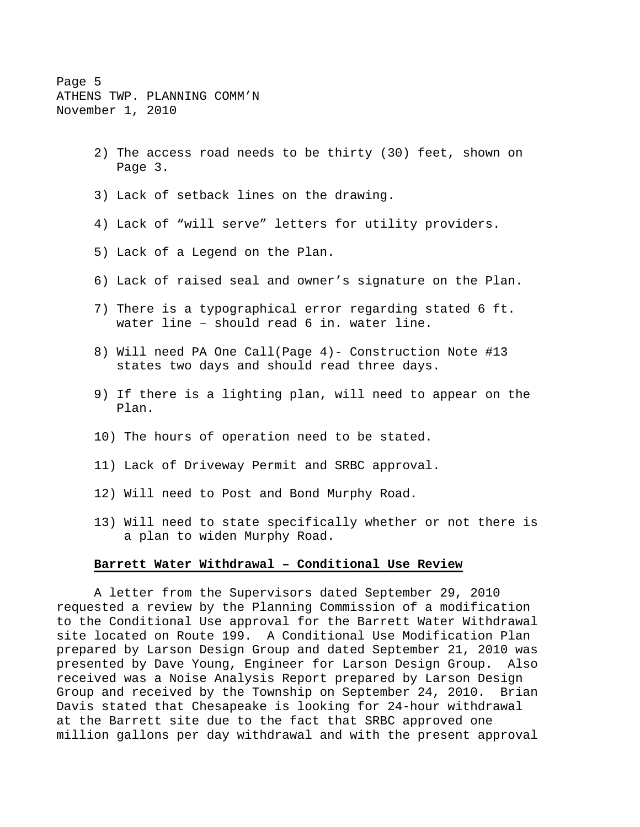Page 5 ATHENS TWP. PLANNING COMM'N November 1, 2010

- 2) The access road needs to be thirty (30) feet, shown on Page 3.
- 3) Lack of setback lines on the drawing.
- 4) Lack of "will serve" letters for utility providers.
- 5) Lack of a Legend on the Plan.
- 6) Lack of raised seal and owner's signature on the Plan.
- 7) There is a typographical error regarding stated 6 ft. water line – should read 6 in. water line.
- 8) Will need PA One Call(Page 4)- Construction Note #13 states two days and should read three days.
- 9) If there is a lighting plan, will need to appear on the Plan.
- 10) The hours of operation need to be stated.
- 11) Lack of Driveway Permit and SRBC approval.
- 12) Will need to Post and Bond Murphy Road.
- 13) Will need to state specifically whether or not there is a plan to widen Murphy Road.

#### **Barrett Water Withdrawal – Conditional Use Review**

A letter from the Supervisors dated September 29, 2010 requested a review by the Planning Commission of a modification to the Conditional Use approval for the Barrett Water Withdrawal site located on Route 199. A Conditional Use Modification Plan prepared by Larson Design Group and dated September 21, 2010 was presented by Dave Young, Engineer for Larson Design Group. Also received was a Noise Analysis Report prepared by Larson Design Group and received by the Township on September 24, 2010. Brian Davis stated that Chesapeake is looking for 24-hour withdrawal at the Barrett site due to the fact that SRBC approved one million gallons per day withdrawal and with the present approval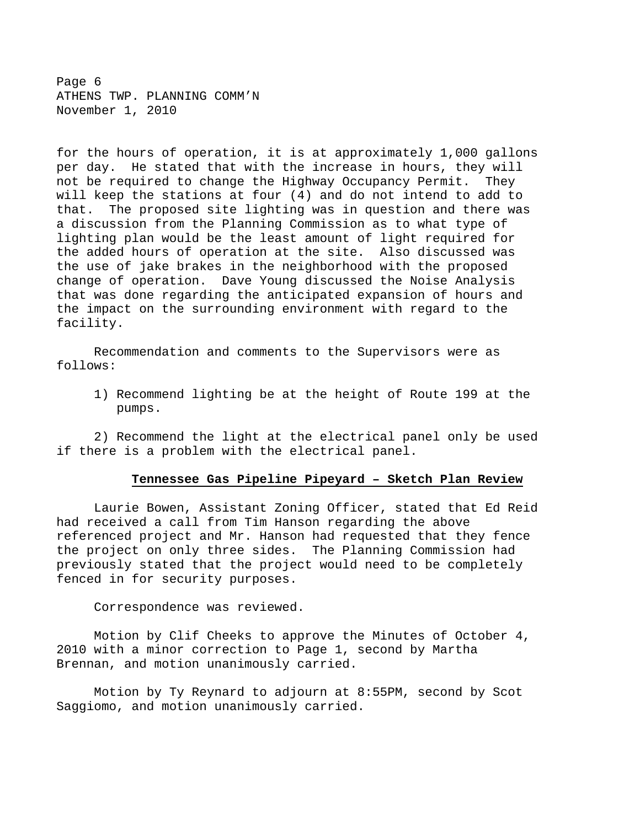Page 6 ATHENS TWP. PLANNING COMM'N November 1, 2010

for the hours of operation, it is at approximately 1,000 gallons per day. He stated that with the increase in hours, they will not be required to change the Highway Occupancy Permit. They will keep the stations at four (4) and do not intend to add to that. The proposed site lighting was in question and there was a discussion from the Planning Commission as to what type of lighting plan would be the least amount of light required for the added hours of operation at the site. Also discussed was the use of jake brakes in the neighborhood with the proposed change of operation. Dave Young discussed the Noise Analysis that was done regarding the anticipated expansion of hours and the impact on the surrounding environment with regard to the facility.

Recommendation and comments to the Supervisors were as follows:

1) Recommend lighting be at the height of Route 199 at the pumps.

2) Recommend the light at the electrical panel only be used if there is a problem with the electrical panel.

# **Tennessee Gas Pipeline Pipeyard – Sketch Plan Review**

 Laurie Bowen, Assistant Zoning Officer, stated that Ed Reid had received a call from Tim Hanson regarding the above referenced project and Mr. Hanson had requested that they fence the project on only three sides. The Planning Commission had previously stated that the project would need to be completely fenced in for security purposes.

Correspondence was reviewed.

 Motion by Clif Cheeks to approve the Minutes of October 4, 2010 with a minor correction to Page 1, second by Martha Brennan, and motion unanimously carried.

 Motion by Ty Reynard to adjourn at 8:55PM, second by Scot Saggiomo, and motion unanimously carried.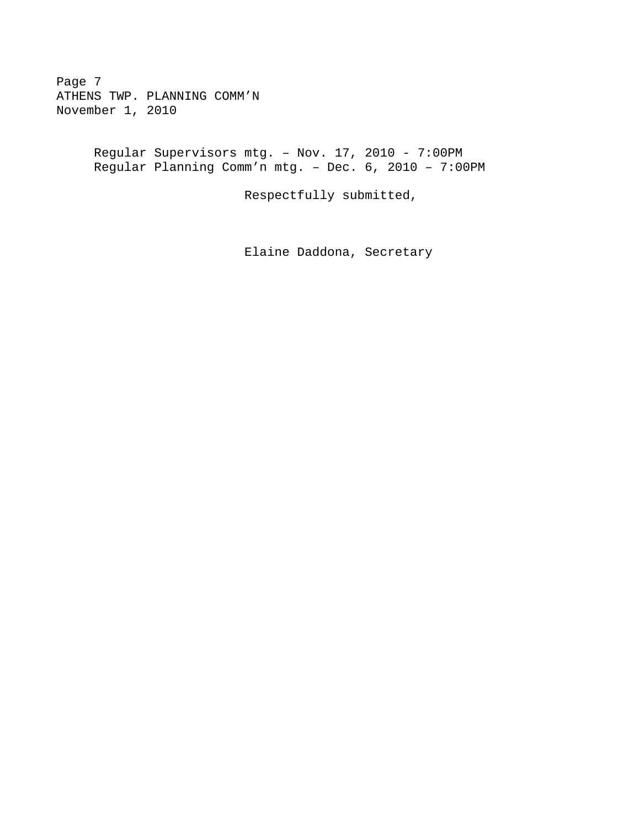Page 7 ATHENS TWP. PLANNING COMM'N November 1, 2010

> Regular Supervisors mtg. – Nov. 17, 2010 - 7:00PM Regular Planning Comm'n mtg. – Dec. 6, 2010 – 7:00PM

> > Respectfully submitted,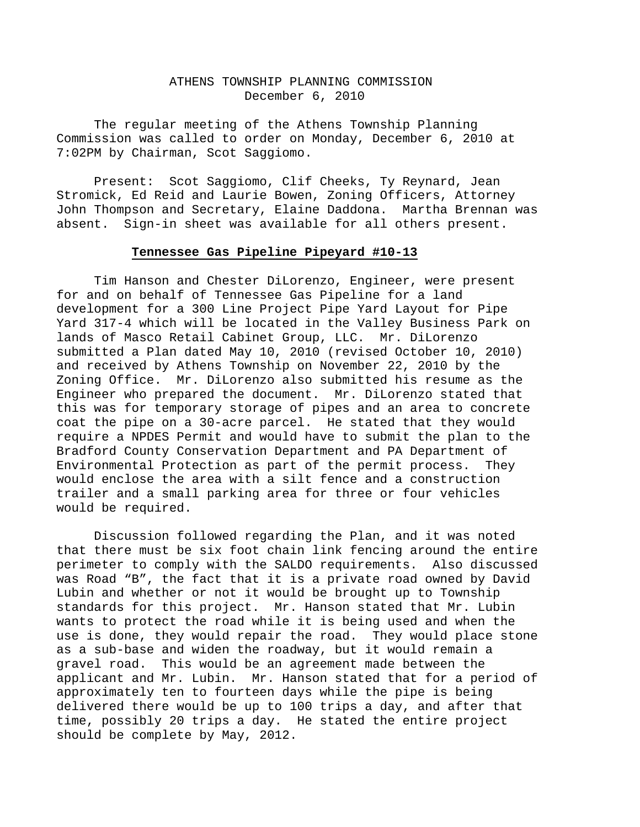### ATHENS TOWNSHIP PLANNING COMMISSION December 6, 2010

The regular meeting of the Athens Township Planning Commission was called to order on Monday, December 6, 2010 at 7:02PM by Chairman, Scot Saggiomo.

Present: Scot Saggiomo, Clif Cheeks, Ty Reynard, Jean Stromick, Ed Reid and Laurie Bowen, Zoning Officers, Attorney John Thompson and Secretary, Elaine Daddona. Martha Brennan was absent. Sign-in sheet was available for all others present.

## **Tennessee Gas Pipeline Pipeyard #10-13**

 Tim Hanson and Chester DiLorenzo, Engineer, were present for and on behalf of Tennessee Gas Pipeline for a land development for a 300 Line Project Pipe Yard Layout for Pipe Yard 317-4 which will be located in the Valley Business Park on lands of Masco Retail Cabinet Group, LLC. Mr. DiLorenzo submitted a Plan dated May 10, 2010 (revised October 10, 2010) and received by Athens Township on November 22, 2010 by the Zoning Office. Mr. DiLorenzo also submitted his resume as the Engineer who prepared the document. Mr. DiLorenzo stated that this was for temporary storage of pipes and an area to concrete coat the pipe on a 30-acre parcel. He stated that they would require a NPDES Permit and would have to submit the plan to the Bradford County Conservation Department and PA Department of Environmental Protection as part of the permit process. They would enclose the area with a silt fence and a construction trailer and a small parking area for three or four vehicles would be required.

 Discussion followed regarding the Plan, and it was noted that there must be six foot chain link fencing around the entire perimeter to comply with the SALDO requirements. Also discussed was Road "B", the fact that it is a private road owned by David Lubin and whether or not it would be brought up to Township standards for this project. Mr. Hanson stated that Mr. Lubin wants to protect the road while it is being used and when the use is done, they would repair the road. They would place stone as a sub-base and widen the roadway, but it would remain a gravel road. This would be an agreement made between the applicant and Mr. Lubin. Mr. Hanson stated that for a period of approximately ten to fourteen days while the pipe is being delivered there would be up to 100 trips a day, and after that time, possibly 20 trips a day. He stated the entire project should be complete by May, 2012.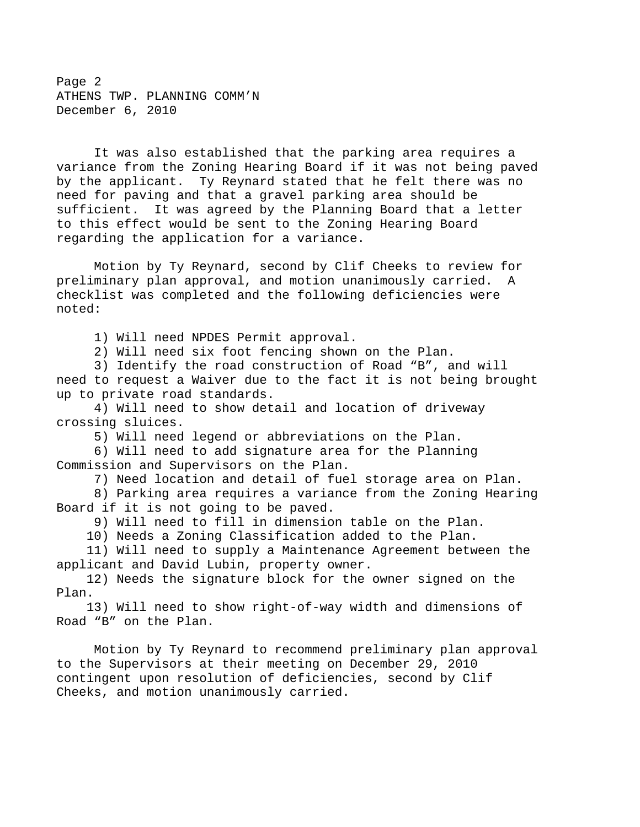Page 2 ATHENS TWP. PLANNING COMM'N December 6, 2010

 It was also established that the parking area requires a variance from the Zoning Hearing Board if it was not being paved by the applicant. Ty Reynard stated that he felt there was no need for paving and that a gravel parking area should be sufficient. It was agreed by the Planning Board that a letter to this effect would be sent to the Zoning Hearing Board regarding the application for a variance.

 Motion by Ty Reynard, second by Clif Cheeks to review for preliminary plan approval, and motion unanimously carried. A checklist was completed and the following deficiencies were noted:

1) Will need NPDES Permit approval.

2) Will need six foot fencing shown on the Plan.

 3) Identify the road construction of Road "B", and will need to request a Waiver due to the fact it is not being brought up to private road standards.

 4) Will need to show detail and location of driveway crossing sluices.

5) Will need legend or abbreviations on the Plan.

 6) Will need to add signature area for the Planning Commission and Supervisors on the Plan.

7) Need location and detail of fuel storage area on Plan.

 8) Parking area requires a variance from the Zoning Hearing Board if it is not going to be paved.

9) Will need to fill in dimension table on the Plan.

10) Needs a Zoning Classification added to the Plan.

 11) Will need to supply a Maintenance Agreement between the applicant and David Lubin, property owner.

 12) Needs the signature block for the owner signed on the Plan.

 13) Will need to show right-of-way width and dimensions of Road "B" on the Plan.

 Motion by Ty Reynard to recommend preliminary plan approval to the Supervisors at their meeting on December 29, 2010 contingent upon resolution of deficiencies, second by Clif Cheeks, and motion unanimously carried.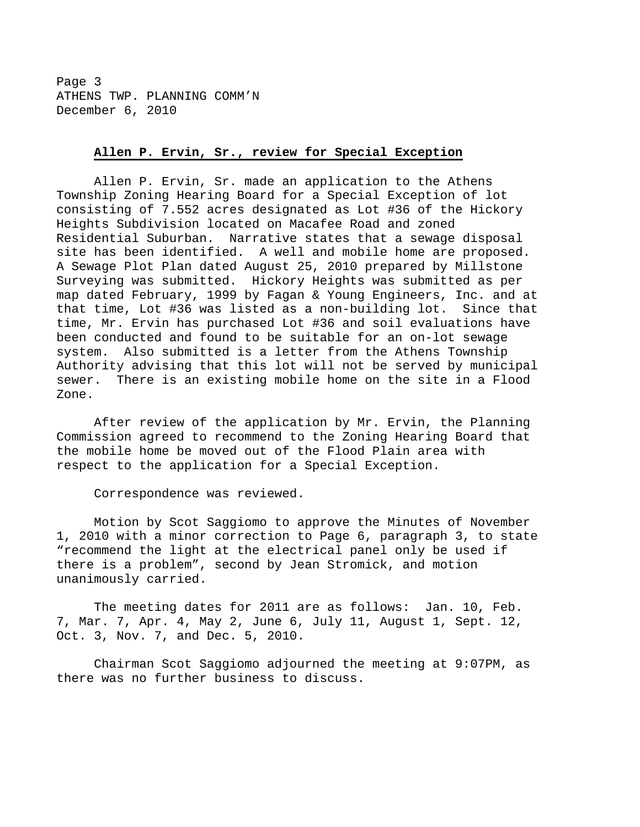Page 3 ATHENS TWP. PLANNING COMM'N December 6, 2010

#### **Allen P. Ervin, Sr., review for Special Exception**

 Allen P. Ervin, Sr. made an application to the Athens Township Zoning Hearing Board for a Special Exception of lot consisting of 7.552 acres designated as Lot #36 of the Hickory Heights Subdivision located on Macafee Road and zoned Residential Suburban. Narrative states that a sewage disposal site has been identified. A well and mobile home are proposed. A Sewage Plot Plan dated August 25, 2010 prepared by Millstone Surveying was submitted. Hickory Heights was submitted as per map dated February, 1999 by Fagan & Young Engineers, Inc. and at that time, Lot #36 was listed as a non-building lot. Since that time, Mr. Ervin has purchased Lot #36 and soil evaluations have been conducted and found to be suitable for an on-lot sewage system. Also submitted is a letter from the Athens Township Authority advising that this lot will not be served by municipal sewer. There is an existing mobile home on the site in a Flood Zone.

 After review of the application by Mr. Ervin, the Planning Commission agreed to recommend to the Zoning Hearing Board that the mobile home be moved out of the Flood Plain area with respect to the application for a Special Exception.

Correspondence was reviewed.

 Motion by Scot Saggiomo to approve the Minutes of November 1, 2010 with a minor correction to Page 6, paragraph 3, to state "recommend the light at the electrical panel only be used if there is a problem", second by Jean Stromick, and motion unanimously carried.

 The meeting dates for 2011 are as follows: Jan. 10, Feb. 7, Mar. 7, Apr. 4, May 2, June 6, July 11, August 1, Sept. 12, Oct. 3, Nov. 7, and Dec. 5, 2010.

 Chairman Scot Saggiomo adjourned the meeting at 9:07PM, as there was no further business to discuss.